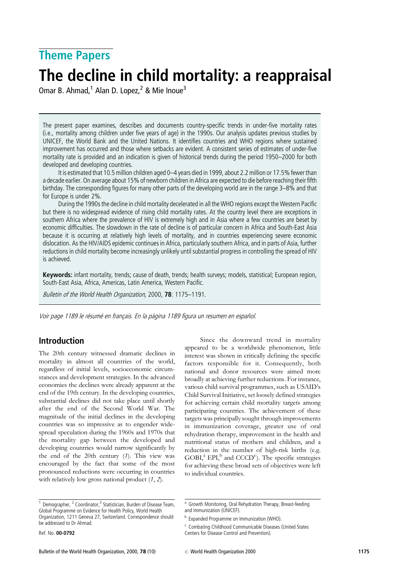# Theme Papers

# The decline in child mortality: a reappraisal

Omar B. Ahmad,<sup>1</sup> Alan D. Lopez,<sup>2</sup> & Mie Inoue<sup>3</sup>

The present paper examines, describes and documents country-specific trends in under-five mortality rates (i.e., mortality among children under five years of age) in the 1990s. Our analysis updates previous studies by UNICEF, the World Bank and the United Nations. It identifies countries and WHO regions where sustained improvement has occurred and those where setbacks are evident. A consistent series of estimates of under-five mortality rate is provided and an indication is given of historical trends during the period 1950–2000 for both developed and developing countries.

It is estimated that 10.5 million children aged 0–4 years died in 1999, about 2.2 million or 17.5% fewer than a decade earlier. On average about 15% of newborn children in Africa are expected to die before reaching their fifth birthday. The corresponding figures for many other parts of the developing world are in the range 3–8% and that for Europe is under 2%.

During the 1990s the decline in child mortality decelerated in all the WHO regions except the Western Pacific but there is no widespread evidence of rising child mortality rates. At the country level there are exceptions in southern Africa where the prevalence of HIV is extremely high and in Asia where a few countries are beset by economic difficulties. The slowdown in the rate of decline is of particular concern in Africa and South-East Asia because it is occurring at relatively high levels of mortality, and in countries experiencing severe economic dislocation. As the HIV/AIDS epidemic continues in Africa, particularly southern Africa, and in parts of Asia, further reductions in child mortality become increasingly unlikely until substantial progress in controlling the spread of HIV is achieved.

Keywords: infant mortality, trends; cause of death, trends; health surveys; models, statistical; European region, South-East Asia, Africa, Americas, Latin America, Western Pacific.

Bulletin of the World Health Organization, 2000, 78: 1175-1191.

Voir page 1189 le résumé en français. En la página 1189 figura un resumen en español.

# Introduction

The 20th century witnessed dramatic declines in mortality in almost all countries of the world, regardless of initial levels, socioeconomic circumstances and development strategies. In the advanced economies the declines were already apparent at the end of the 19th century. In the developing countries, substantial declines did not take place until shortly after the end of the Second World War. The magnitude of the initial declines in the developing countries was so impressive as to engender widespread speculation during the 1960s and 1970s that the mortality gap between the developed and developing countries would narrow significantly by the end of the 20th century  $(1)$ . This view was encouraged by the fact that some of the most pronounced reductions were occurring in countries with relatively low gross national product  $(1, 2)$ .

Since the downward trend in mortality appeared to be a worldwide phenomenon, little interest was shown in critically defining the specific factors responsible for it. Consequently, both national and donor resources were aimed more broadly at achieving further reductions. For instance, various child survival programmes, such as USAID's Child Survival Initiative, set loosely defined strategies for achieving certain child mortality targets among participating countries. The achievement of these targets was principally sought through improvements in immunization coverage, greater use of oral rehydration therapy, improvement in the health and nutritional status of mothers and children, and a reduction in the number of high-risk births (e.g. GOBI,<sup>a</sup> EPI,<sup>b</sup> and CCCD<sup>c</sup>). The specific strategies for achieving these broad sets of objectives were left to individual countries.

Demographer, <sup>2</sup> Coordinator,<sup>3</sup> Statistician, Burden of Disease Team, Global Programme on Evidence for Health Policy, World Health Organization, 1211 Geneva 27, Switzerland. Correspondence should be addressed to Dr Ahmad.

Ref. No. 00-0792

<sup>&</sup>lt;sup>a</sup> Growth Monitoring, Oral Rehydration Therapy, Breast-feeding and Immunization (UNICEF).

**b** Expanded Programme on Immunization (WHO).

<sup>c</sup> Combating Childhood Communicable Diseases (United States Centers for Disease Control and Prevention).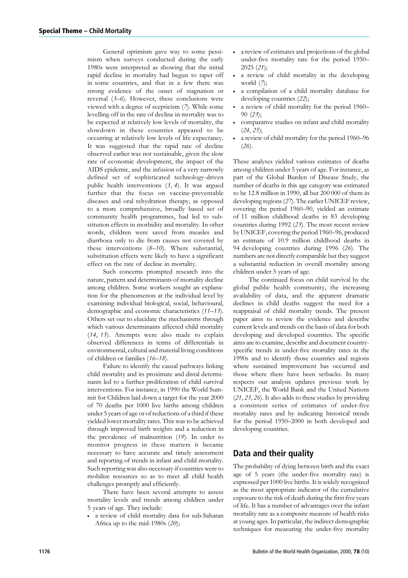General optimism gave way to some pessimism when surveys conducted during the early 1980s were interpreted as showing that the initial rapid decline in mortality had begun to taper off in some countries, and that in a few there was strong evidence of the onset of stagnation or reversal  $(3-6)$ . However, these conclusions were viewed with a degree of scepticism (7). While some levelling off in the rate of decline in mortality was to be expected at relatively low levels of mortality, the slowdown in these countries appeared to be occurring at relatively low levels of life expectancy. It was suggested that the rapid rate of decline observed earlier was not sustainable, given the slow rate of economic development, the impact of the AIDS epidemic, and the infusion of a very narrowly defined set of sophisticated technology-driven public health interventions  $(3, 4)$ . It was argued further that the focus on vaccine-preventable diseases and oral rehydration therapy, as opposed to a more comprehensive, broadly based set of community health programmes, had led to substitution effects in morbidity and mortality. In other words, children were saved from measles and diarrhoea only to die from causes not covered by these interventions (8–10). Where substantial, substitution effects were likely to have a significant effect on the rate of decline in mortality.

Such concerns prompted research into the nature, pattern and determinants of mortality decline among children. Some workers sought an explanation for the phenomenon at the individual level by examining individual biological, social, behavioural, demographic and economic characteristics (11–13). Others set out to elucidate the mechanisms through which various determinants affected child mortality (14, 15). Attempts were also made to explain observed differences in terms of differentials in environmental, cultural and material living conditions of children or families (16–18).

Failure to identify the causal pathways linking child mortality and its proximate and distal determinants led to a further proliferation of child survival interventions. For instance, in 1990 the World Summit for Children laid down a target for the year 2000 of 70 deaths per 1000 live births among children under 5 years of age or of reductions of a third if these yielded lower mortality rates. This was to be achieved through improved birth weights and a reduction in the prevalence of malnutrition (19). In order to monitor progress in these matters it became necessary to have accurate and timely assessment and reporting of trends in infant and child mortality. Such reporting was also necessary if countries were to mobilize resources so as to meet all child health challenges promptly and efficiently.

There have been several attempts to assess mortality levels and trends among children under 5 years of age. They include:

. a review of child mortality data for sub-Saharan Africa up to the mid-1980s (20);

- . a review of estimates and projections of the global under-five mortality rate for the period 1950– 2025 (21);
- . a review of child mortality in the developing world (7);
- . a compilation of a child mortality database for developing countries (22);
- . a review of child mortality for the period 1960– 90 (23);
- . comparative studies on infant and child mortality (24, 25);
- . a review of child mortality for the period 1960–96  $(26)$ .

These analyses yielded various estimates of deaths among children under 5 years of age. For instance, as part of the Global Burden of Disease Study, the number of deaths in this age category was estimated to be 12.8 million in 1990, all but 200 000 of them in developing regions (27). The earlier UNICEF review, covering the period 1960–90, yielded an estimate of 11 million childhood deaths in 83 developing countries during 1992 (23). The most recent review by UNICEF, covering the period 1960–96, produced an estimate of 10.9 million childhood deaths in 94 developing countries during 1996 (26). The numbers are not directly comparable but they suggest a substantial reduction in overall mortality among children under 5 years of age.

The continued focus on child survival by the global public health community, the increasing availability of data, and the apparent dramatic declines in child deaths suggest the need for a reappraisal of child mortality trends. The present paper aims to review the evidence and describe current levels and trends on the basis of data for both developing and developed countries. The specific aims are to examine, describe and document countryspecific trends in under-five mortality rates in the 1990s and to identify those countries and regions where sustained improvement has occurred and those where there have been setbacks. In many respects our analysis updates previous work by UNICEF, the World Bank and the United Nations (21, 23, 26). It also adds to these studies by providing a consistent series of estimates of under-five mortality rates and by indicating historical trends for the period 1950–2000 in both developed and developing countries.

# Data and their quality

The probability of dying between birth and the exact age of 5 years (the under-five mortality rate) is expressed per 1000 live births. It is widely recognized as the most appropriate indicator of the cumulative exposure to the risk of death during the first five years of life. It has a number of advantages over the infant mortality rate as a composite measure of health risks at young ages. In particular, the indirect demographic techniques for measuring the under-five mortality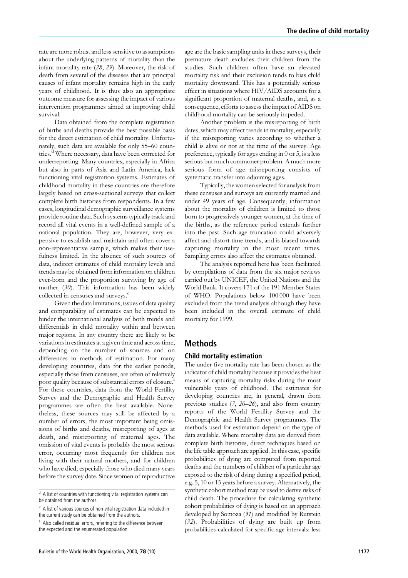rate are more robust and less sensitive to assumptions about the underlying patterns of mortality than the infant mortality rate (28, 29). Moreover, the risk of death from several of the diseases that are principal causes of infant mortality remains high in the early years of childhood. It is thus also an appropriate outcome measure for assessing the impact of various intervention programmes aimed at improving child survival.

Data obtained from the complete registration of births and deaths provide the best possible basis for the direct estimation of child mortality. Unfortunately, such data are available for only 55–60 countries.<sup>d</sup> Where necessary, data have been corrected for underreporting. Many countries, especially in Africa but also in parts of Asia and Latin America, lack functioning vital registration systems. Estimates of childhood mortality in these countries are therefore largely based on cross-sectional surveys that collect complete birth histories from respondents. In a few cases, longitudinal demographic surveillance systems provide routine data. Such systems typically track and record all vital events in a well-defined sample of a national population. They are, however, very expensive to establish and maintain and often cover a non-representative sample, which makes their usefulness limited. In the absence of such sources of data, indirect estimates of child mortality levels and trends may be obtained from information on children ever-born and the proportion surviving by age of mother (30). This information has been widely collected in censuses and surveys.<sup>e</sup>

Given the data limitations, issues of data quality and comparability of estimates can be expected to hinder the international analysis of both trends and differentials in child mortality within and between major regions. In any country there are likely to be variations in estimates at a given time and across time, depending on the number of sources and on differences in methods of estimation. For many developing countries, data for the earlier periods, especially those from censuses, are often of relatively poor quality because of substantial errors of closure.<sup>f</sup> For these countries, data from the World Fertility Survey and the Demographic and Health Survey programmes are often the best available. Nonetheless, these sources may still be affected by a number of errors, the most important being omissions of births and deaths, misreporting of ages at death, and misreporting of maternal ages. The omission of vital events is probably the most serious error, occurring most frequently for children not living with their natural mothers, and for children who have died, especially those who died many years before the survey date. Since women of reproductive

<sup>f</sup> Also called residual errors, referring to the difference between the expected and the enumerated population.

age are the basic sampling units in these surveys, their premature death excludes their children from the studies. Such children often have an elevated mortality risk and their exclusion tends to bias child mortality downward. This has a potentially serious effect in situations where HIV/AIDS accounts for a significant proportion of maternal deaths, and, as a consequence, efforts to assess the impact of AIDSon childhood mortality can be seriously impeded.

Another problem is the misreporting of birth dates, which may affect trends in mortality, especially if the misreporting varies according to whether a child is alive or not at the time of the survey. Age preference, typically for ages ending in 0 or 5, is a less serious but much commoner problem. A much more serious form of age misreporting consists of systematic transfer into adjoining ages.

Typically, the women selected for analysis from these censuses and surveys are currently married and under 49 years of age. Consequently, information about the mortality of children is limited to those born to progressively younger women, at the time of the births, as the reference period extends further into the past. Such age truncation could adversely affect and distort time trends, and is biased towards capturing mortality in the most recent times. Sampling errors also affect the estimates obtained.

The analysis reported here has been facilitated by compilations of data from the six major reviews carried out by UNICEF, the United Nations and the World Bank. It covers 171 of the 191 Member States of WHO. Populations below 100 000 have been excluded from the trend analysis although they have been included in the overall estimate of child mortality for 1999.

# Methods

#### Child mortality estimation

The under-five mortality rate has been chosen as the indicator of child mortality because it provides the best means of capturing mortality risks during the most vulnerable years of childhood. The estimates for developing countries are, in general, drawn from previous studies (7, 20–26), and also from country reports of the World Fertility Survey and the Demographic and Health Survey programmes. The methods used for estimation depend on the type of data available. Where mortality data are derived from complete birth histories, direct techniques based on the life table approach are applied. In this case, specific probabilities of dying are computed from reported deaths and the numbers of children of a particular age exposed to the risk of dying during a specified period, e.g. 5, 10 or 15 years before a survey. Alternatively, the synthetic cohort method may be used to derive risks of child death. The procedure for calculating synthetic cohort probabilities of dying is based on an approach developed by Somoza (31) and modified by Rutstein (32). Probabilities of dying are built up from probabilities calculated for specific age intervals: less

 $d$  A list of countries with functioning vital registration systems can be obtained from the authors.

<sup>e</sup> A list of various sources of non-vital registration data included in the current study can be obtained from the authors.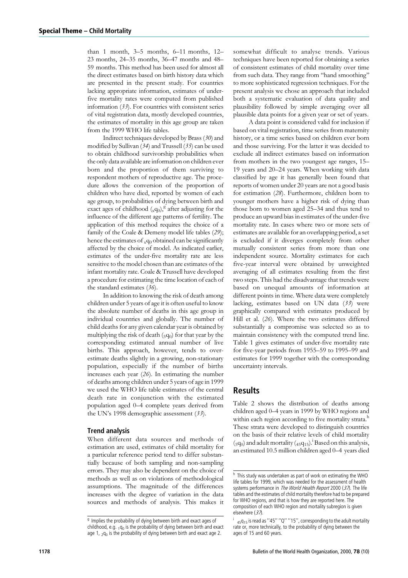than 1 month, 3–5 months, 6–11 months, 12– 23 months, 24–35 months, 36–47 months and 48– 59 months. This method has been used for almost all the direct estimates based on birth history data which are presented in the present study. For countries lacking appropriate information, estimates of underfive mortality rates were computed from published information (33). For countries with consistent series of vital registration data, mostly developed countries, the estimates of mortality in this age group are taken from the 1999 WHO life tables.

Indirect techniques developed by Brass (30) and modified by Sullivan (34) and Trussell (35) can be used to obtain childhood survivorship probabilities when the only data available are information on children ever born and the proportion of them surviving to respondent mothers of reproductive age. The procedure allows the conversion of the proportion of children who have died, reported by women of each age group, to probabilities of dying between birth and exact ages of childhood  $(xq_0)$ , after adjusting for the influence of the different age patterns of fertility. The application of this method requires the choice of a family of the Coale & Demeny model life tables (29); hence the estimates of  $_{x}q_{0}$  obtained can be significantly affected by the choice of model. As indicated earlier, estimates of the under-five mortality rate are less sensitive to the model chosen than are estimates of the infant mortality rate. Coale & Trussell have developed a procedure for estimating the time location of each of the standard estimates (36).

In addition to knowing the risk of death among children under 5 years of age it is often useful to know the absolute number of deaths in this age group in individual countries and globally. The number of child deaths for any given calendar year is obtained by multiplying the risk of death  $(5q_0)$  for that year by the corresponding estimated annual number of live births. This approach, however, tends to overestimate deaths slightly in a growing, non-stationary population, especially if the number of births increases each year (26). In estimating the number of deaths among children under 5 years of age in 1999 we used the WHO life table estimates of the central death rate in conjunction with the estimated population aged 0–4 complete years derived from the UN's 1998 demographic assessment (33).

#### Trend analysis

When different data sources and methods of estimation are used, estimates of child mortality for a particular reference period tend to differ substantially because of both sampling and non-sampling errors. They may also be dependent on the choice of methods as well as on violations of methodological assumptions. The magnitude of the differences increases with the degree of variation in the data sources and methods of analysis. This makes it

somewhat difficult to analyse trends. Various techniques have been reported for obtaining a series of consistent estimates of child mortality over time from such data. They range from ''hand smoothing'' to more sophisticated regression techniques. For the present analysis we chose an approach that included both a systematic evaluation of data quality and plausibility followed by simple averaging over all plausible data points for a given year or set of years.

A data point is considered valid for inclusion if based on vital registration, time series from maternity history, or a time series based on children ever born and those surviving. For the latter it was decided to exclude all indirect estimates based on information from mothers in the two youngest age ranges, 15– 19 years and 20–24 years. When working with data classified by age it has generally been found that reports of women under 20 years are not a good basis for estimation (28). Furthermore, children born to younger mothers have a higher risk of dying than those born to women aged 25–34 and thus tend to produce an upward bias in estimates of the under-five mortality rate. In cases where two or more sets of estimates are available for an overlapping period, a set is excluded if it diverges completely from other mutually consistent series from more than one independent source. Mortality estimates for each five-year interval were obtained by unweighted averaging of all estimates resulting from the first two steps. This had the disadvantage that trends were based on unequal amounts of information at different points in time. Where data were completely lacking, estimates based on UN data (33) were graphically compared with estimates produced by Hill et al. (26). Where the two estimates differed substantially a compromise was selected so as to maintain consistency with the computed trend line. Table 1 gives estimates of under-five mortality rate for five-year periods from 1955–59 to 1995–99 and estimates for 1999 together with the corresponding uncertainty intervals.

# Results

Table 2 shows the distribution of deaths among children aged 0–4 years in 1999 by WHO regions and within each region according to five mortality strata.<sup>h</sup> These strata were developed to distinguish countries on the basis of their relative levels of child mortality  $({}_5q_0)$  and adult mortality  $({}_45q_{15})$ .<sup>i</sup> Based on this analysis, an estimated 10.5 million children aged 0–4 years died

 $9$  Implies the probability of dying between birth and exact ages of childhood, e.g.  $1q_0$  is the probability of dying between birth and exact age 1,  $2q_0$  is the probability of dying between birth and exact age 2.

h This study was undertaken as part of work on estimating the WHO life tables for 1999, which was needed for the assessment of health systems performance in The World Health Report 2000 (37). The life tables and the estimates of child mortality therefore had to be prepared for WHO regions, and that is how they are reported here. The composition of each WHO region and mortality subregion is given elsewhere (37).

<sup>&</sup>lt;sub>45</sub>q<sub>15</sub> is read as "45" "Q" "15", corresponding to the adult mortality rate or, more technically, to the probability of dying between the ages of 15 and 60 years.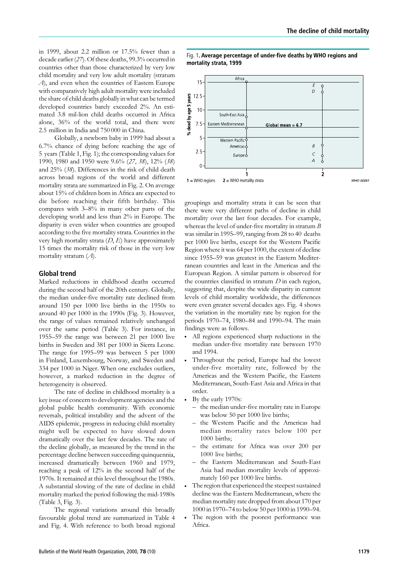in 1999, about 2.2 million or 17.5% fewer than a decade earlier (27). Of these deaths, 99.3% occurred in countries other than those characterized by very low child mortality and very low adult mortality (stratum A), and even when the countries of Eastern Europe with comparatively high adult mortality were included the share of child deaths globally in what can be termed developed countries barely exceeded 2%. An estimated 3.8 mil-lion child deaths occurred in Africa alone, 36% of the world total, and there were 2.5 million in India and 750 000 in China.

Globally, a newborn baby in 1999 had about a 6.7% chance of dying before reaching the age of 5 years (Table 1, Fig. 1); the corresponding values for 1990, 1980 and 1950 were 9.6% (27, 38), 12% (38) and 25% (38). Differences in the risk of child death across broad regions of the world and different mortality strata are summarized in Fig. 2. On average about 15% of children born in Africa are expected to die before reaching their fifth birthday. This compares with 3–8% in many other parts of the developing world and less than 2% in Europe. The disparity is even wider when countries are grouped according to the five mortality strata. Countries in the very high mortality strata  $(D, E)$  have approximately 15 times the mortality risk of those in the very low mortality stratum  $(A)$ .

#### Global trend

Marked reductions in childhood deaths occurred during the second half of the 20th century. Globally, the median under-five mortality rate declined from around 150 per 1000 live births in the 1950s to around 40 per 1000 in the 1990s (Fig. 3). However, the range of values remained relatively unchanged over the same period (Table 3). For instance, in 1955–59 the range was between 21 per 1000 live births in Sweden and 381 per 1000 in Sierra Leone. The range for 1995–99 was between 5 per 1000 in Finland, Luxembourg, Norway, and Sweden and 334 per 1000 in Niger. When one excludes outliers, however, a marked reduction in the degree of heterogeneity is observed.

The rate of decline in childhood mortality is a key issue of concern to development agencies and the global public health community. With economic reversals, political instability and the advent of the AIDSepidemic, progress in reducing child mortality might well be expected to have slowed down dramatically over the last few decades. The rate of the decline globally, as measured by the trend in the percentage decline between succeeding quinquennia, increased dramatically between 1960 and 1979, reaching a peak of 12% in the second half of the 1970s. It remained at this level throughout the 1980s. A substantial slowing of the rate of decline in child mortality marked the period following the mid-1980s (Table 3, Fig. 3).

The regional variations around this broadly favourable global trend are summarized in Table 4 and Fig. 4. With reference to both broad regional Fig. 1. Average percentage of under-five deaths by WHO regions and mortality strata, 1999 Africa  $15$ E



groupings and mortality strata it can be seen that there were very different paths of decline in child mortality over the last four decades. For example, whereas the level of under-five mortality in stratum  $B$ was similar in 1995–99, ranging from 28 to 40 deaths per 1000 live births, except for the Western Pacific Region where it was 64 per 1000, the extent of decline since 1955–59 was greatest in the Eastern Mediterranean countries and least in the Americas and the European Region. A similar pattern is observed for the countries classified in stratum  $D$  in each region, suggesting that, despite the wide disparity in current levels of child mortality worldwide, the differences were even greater several decades ago. Fig. 4 shows the variation in the mortality rate by region for the periods 1970–74, 1980–84 and 1990–94. The main findings were as follows.

- . All regions experienced sharp reductions in the median under-five mortality rate between 1970 and 1994.
- . Throughout the period, Europe had the lowest under-five mortality rate, followed by the Americas and the Western Pacific, the Eastern Mediterranean, South-East Asia and Africa in that order.
- . By the early 1970s:
	- the median under-five mortality rate in Europe was below 50 per 1000 live births;
	- the Western Pacific and the Americas had median mortality rates below 100 per 1000 births;
	- the estimate for Africa was over 200 per 1000 live births;
	- the Eastern Mediterranean and South-East Asia had median mortality levels of approximately 160 per 1000 live births.
- . The region that experienced the steepest sustained decline was the Eastern Mediterranean, where the median mortality rate dropped from about 170 per 1000 in 1970–74 to below 50 per 1000 in 1990–94.
- . The region with the poorest performance was Africa.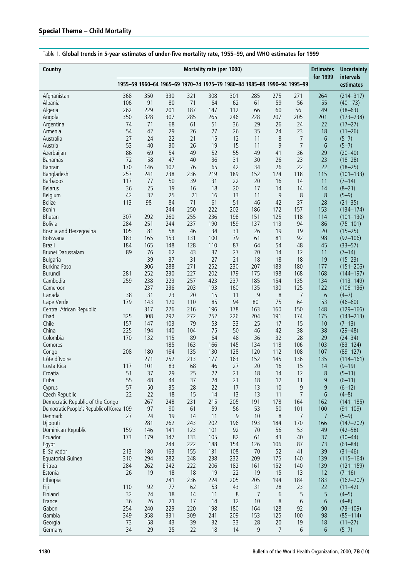| Country                                   | Mortality rate (per 1000) |            |            |                                                                         |            |            |           |           |                |           | <b>Uncertainty</b>           |
|-------------------------------------------|---------------------------|------------|------------|-------------------------------------------------------------------------|------------|------------|-----------|-----------|----------------|-----------|------------------------------|
|                                           |                           |            |            | 1955-59 1960-64 1965-69 1970-74 1975-79 1980-84 1985-89 1990-94 1995-99 |            |            |           |           |                | for 1999  | intervals<br>estimates       |
| Afghanistan                               | 368                       | 350        | 330        | 321                                                                     | 308        | 301        | 285       | 275       | 271            | 264       | $(214 - 317)$                |
| Albania                                   | 106                       | 91         | 80         | 71                                                                      | 64         | 62         | 61        | 59        | 56             | 55        | $(40 - 73)$                  |
| Algeria                                   | 262                       | 229        | 201        | 187                                                                     | 147        | 112        | 66        | 60        | 56             | 49        | $(38 - 63)$                  |
| Angola                                    | 350                       | 328        | 307        | 285                                                                     | 265        | 246        | 228       | 207       | 205            | 201       | $(173 - 238)$                |
| Argentina                                 | 74                        | 71         | 68         | 61                                                                      | 51         | 36         | 29        | 26        | 24             | 22        | $(17 - 27)$                  |
| Armenia                                   | 54                        | 42         | 29         | 26                                                                      | 27         | 26         | 35        | 24        | 23             | 18        | $(11 - 26)$                  |
| Australia                                 | 27                        | 24         | 22         | 21                                                                      | 15         | 12         | 11        | 8         | $\overline{7}$ | 6         | $(5-7)$                      |
| Austria                                   | 53                        | 40         | 30         | 26                                                                      | 19         | 15         | 11        | 9         | $\overline{7}$ | 6         | $(5 - 7)$                    |
| Azerbaijan                                | 86                        | 69         | 54         | 49                                                                      | 52         | 55         | 49        | 41        | 36             | 29        | $(20 - 40)$                  |
| <b>Bahamas</b><br><b>Bahrain</b>          | 72<br>170                 | 58<br>146  | 47<br>102  | 40<br>76                                                                | 36<br>65   | 31<br>42   | 30<br>34  | 26<br>26  | 23<br>22       | 23<br>22  | $(18 - 28)$                  |
| Bangladesh                                | 257                       | 241        | 238        | 236                                                                     | 219        | 189        | 152       | 124       | 118            | 115       | $(18 - 25)$<br>$(101 - 133)$ |
| <b>Barbados</b>                           | 117                       | 77         | 50         | 39                                                                      | 31         | 22         | 20        | 16        | 14             | 11        | $(7-14)$                     |
| <b>Belarus</b>                            | 36                        | 25         | 19         | 16                                                                      | 18         | 20         | 17        | 14        | 14             | 14        | $(8-21)$                     |
| Belgium                                   | 42                        | 32         | 25         | 21                                                                      | 16         | 13         | 11        | 9         | 8              | $8\,$     | $(5-9)$                      |
| Belize                                    | 113                       | 98         | 84         | 71                                                                      | 61         | 51         | 46        | 42        | 37             | 28        | $(21 - 35)$                  |
| Benin                                     |                           |            | 244        | 250                                                                     | 222        | 202        | 186       | 172       | 157            | 153       | $(134 - 174)$                |
| <b>Bhutan</b>                             | 307                       | 292        | 260        | 255                                                                     | 236        | 198        | 151       | 125       | 118            | 114       | $(101 - 130)$                |
| <b>Bolivia</b>                            | 284                       | 251        | 244        | 237                                                                     | 190        | 159        | 137       | 113       | 94             | 86        | $(75 - 101)$                 |
| Bosnia and Herzegovina                    | 105                       | 81         | 58         | 46                                                                      | 34         | 31         | 26        | 19        | 19             | 20        | $(15 - 25)$                  |
| <b>Botswana</b>                           | 183                       | 165        | 153        | 131                                                                     | 100        | 79         | 61        | 81        | 92             | 98        | $(92 - 106)$                 |
| <b>Brazil</b>                             | 184                       | 165        | 148        | 128                                                                     | 110        | 87         | 64        | 54        | 48             | 45        | $(33 - 57)$                  |
| Brunei Darussalam                         | 89                        | 76         | 62         | 43                                                                      | 37         | 27         | 20        | 14        | 12             | 11        | $(7-14)$                     |
| <b>Bulgaria</b>                           |                           | 39         | 37         | 31                                                                      | 27         | 21         | 18        | 18        | 18             | 19        | $(15 - 23)$                  |
| <b>Burkina Faso</b>                       |                           | 306        | 288        | 271                                                                     | 252        | 230        | 207       | 183       | 180            | 177       | $(151 - 206)$                |
| <b>Burundi</b>                            | 281                       | 252        | 230        | 227                                                                     | 202        | 179        | 175       | 198       | 168            | 168       | $(144 - 197)$                |
| Cambodia                                  | 259                       | 238        | 223        | 257                                                                     | 423        | 237        | 185       | 154       | 135            | 134       | $(113 - 149)$                |
| Cameroon                                  |                           | 237        | 236        | 203                                                                     | 193        | 160        | 135       | 130       | 125            | 122       | $(106 - 136)$                |
| Canada                                    | 38                        | 31         | 23         | 20                                                                      | 15         | 11         | 9         | 8         | $\overline{7}$ | 6         | $(4-7)$                      |
| Cape Verde                                | 179                       | 143        | 120        | 110                                                                     | 85         | 94         | 80        | 75        | 64             | 53        | $(46 - 60)$                  |
| Central African Republic                  |                           | 317        | 276        | 216                                                                     | 196        | 178        | 163       | 160       | 150            | 148       | $(129 - 166)$                |
| Chad<br>Chile                             | 325<br>157                | 308<br>147 | 292<br>103 | 272<br>79                                                               | 252<br>53  | 226<br>33  | 204<br>25 | 191<br>17 | 174<br>15      | 175<br>10 | $(143 - 213)$<br>$(7-13)$    |
| China                                     | 225                       | 194        | 140        | 104                                                                     | 75         | 50         | 46        | 42        | 38             | 38        | $(29 - 48)$                  |
| Colombia                                  | 170                       | 132        | 115        | 89                                                                      | 64         | 48         | 36        | 32        | 28             | 29        | $(24 - 34)$                  |
| Comoros                                   |                           |            | 185        | 163                                                                     | 166        | 145        | 134       | 118       | 106            | 103       | $(83 - 124)$                 |
| Congo                                     | 208                       | 180        | 164        | 135                                                                     | 130        | 128        | 120       | 112       | 108            | 107       | $(89 - 127)$                 |
| Côte d'Ivoire                             |                           | 271        | 252        | 213                                                                     | 177        | 163        | 152       | 145       | 136            | 135       | $(114 - 161)$                |
| Costa Rica                                | 117                       | 101        | 83         | 68                                                                      | 46         | 27         | 20        | 16        | 15             | 14        | $(9 - 19)$                   |
| Croatia                                   | 51                        | 37         | 29         | 25                                                                      | 22         | 21         | 18        | 14        | 12             | 8         | $(5 - 11)$                   |
| Cuba                                      | 55                        | 48         | 44         | 37                                                                      | 24         | 21         | 18        | 12        | 11             | 9         | $(6 - 11)$                   |
| Cyprus                                    | 57                        | 50         | 35         | 28                                                                      | 22         | 17         | 13        | 10        | 9              | 9         | $(6-12)$                     |
| Czech Republic                            | 22                        | 22         | 18         | 15                                                                      | 14         | 13         | 13        | 11        | 7              | 6         | $(4-8)$                      |
| Democratic Republic of the Congo          |                           | 267        | 248        | 231                                                                     | 215        | 205        | 191       | 178       | 164            | 162       | $(141 - 185)$                |
| Democratic People's Republic of Korea 109 |                           | 97         | 90         | 61                                                                      | 59         | 56         | 53        | 50        | 101            | 100       | $(91 - 109)$                 |
| Denmark                                   | 27                        | 24         | 19         | 14                                                                      | 11         | 9          | 10        | 8         | 7              | 7         | $(5-9)$                      |
| Djibouti                                  |                           | 281        | 262        | 243                                                                     | 202        | 196        | 193       | 184       | 170            | 166       | $(147 - 202)$                |
| Dominican Republic                        | 159                       | 146        | 141        | 123                                                                     | 101        | 92         | 70        | 56        | 53             | 49        | $(42 - 58)$                  |
| Ecuador                                   | 173                       | 179        | 147        | 133                                                                     | 105        | 82         | 61        | 43        | 40             | 37        | $(30 - 44)$                  |
| Egypt<br>El Salvador                      | 213                       | 180        | 244<br>163 | 222<br>155                                                              | 188<br>131 | 154<br>108 | 126<br>70 | 106<br>52 | 87<br>41       | 73<br>39  | $(63 - 84)$<br>$(31 - 46)$   |
|                                           | 310                       | 294        | 282        | 248                                                                     | 238        | 232        | 209       | 175       | 140            | 139       | $(115 - 164)$                |
| Equatorial Guinea<br>Eritrea              | 284                       | 262        | 242        | 222                                                                     | 206        | 182        | 161       | 152       | 140            | 139       | $(121 - 159)$                |
| Estonia                                   | 26                        | 19         | 18         | 18                                                                      | 19         | 22         | 19        | 15        | 13             | 12        | $(7-16)$                     |
| Ethiopia                                  |                           |            | 241        | 236                                                                     | 224        | 205        | 205       | 194       | 184            | 183       | $(162 - 207)$                |
| Fiji                                      | 110                       | 92         | 77         | 62                                                                      | 53         | 43         | 31        | 28        | 23             | 22        | $(11-42)$                    |
| Finland                                   | 32                        | 24         | 18         | 14                                                                      | 11         | 8          | 7         | 6         | 5              | 5         | $(4-5)$                      |
| France                                    | 36                        | 26         | 21         | 17                                                                      | 14         | 12         | 10        | 8         | 6              | 6         | $(4-8)$                      |
| Gabon                                     | 254                       | 240        | 229        | 220                                                                     | 198        | 180        | 164       | 128       | 92             | 90        | $(73 - 109)$                 |
| Gambia                                    | 349                       | 358        | 331        | 309                                                                     | 241        | 209        | 153       | 125       | 100            | 98        | $(85 - 114)$                 |
| Georgia                                   | 73                        | 58         | 43         | 39                                                                      | 32         | 33         | 28        | 20        | 19             | 18        | $(11 - 27)$                  |
| Germany                                   | 34                        | 29         | 25         | 22                                                                      | 18         | 14         | 9         | 7         | 6              | 6         | $(5 - 7)$                    |

Table 1. Global trends in 5-year estimates of under-five mortality rate, 1955–99, and WHO estimates for 1999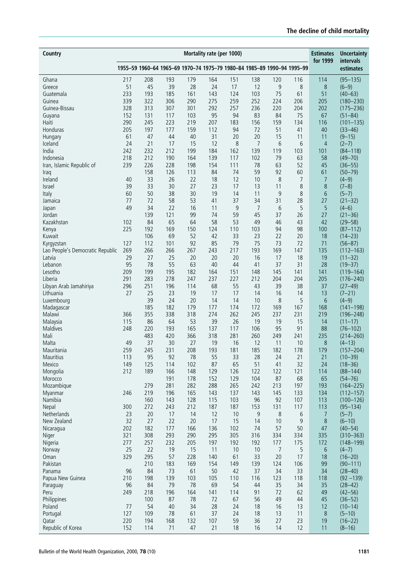| Country                             | Mortality rate (per 1000) |            |            |            |            |                                                                         |                |                 |           |                | <b>Uncertainty</b><br>intervals |
|-------------------------------------|---------------------------|------------|------------|------------|------------|-------------------------------------------------------------------------|----------------|-----------------|-----------|----------------|---------------------------------|
|                                     |                           |            |            |            |            | 1955-59 1960-64 1965-69 1970-74 1975-79 1980-84 1985-89 1990-94 1995-99 |                |                 |           | for 1999       | estimates                       |
| Ghana                               | 217                       | 208        | 193        | 179        | 164        | 151                                                                     | 138            | 120             | 116       | 114            | $(95 - 135)$                    |
| Greece                              | 51                        | 45         | 39         | 28         | 24         | 17                                                                      | 12             | 9               | 8         | 8              | $(6-9)$                         |
| Guatemala<br>Guinea                 | 233<br>339                | 193<br>322 | 185<br>306 | 161<br>290 | 143<br>275 | 124<br>259                                                              | 103<br>252     | 75<br>224       | 61<br>206 | 51<br>205      | $(40 - 63)$<br>$(180 - 230)$    |
| Guinea-Bissau                       | 328                       | 313        | 307        | 301        | 292        | 257                                                                     | 236            | 220             | 204       | 202            | $(175 - 236)$                   |
| Guyana                              | 152                       | 131        | 117        | 103        | 95         | 94                                                                      | 83             | 84              | 75        | 67             | $(51 - 84)$                     |
| Haiti                               | 290                       | 245        | 223        | 219        | 207        | 183                                                                     | 156            | 159             | 134       | 116            | $(101 - 135)$                   |
| Honduras                            | 205                       | 197        | 177        | 159        | 112        | 94                                                                      | 72             | 51              | 41        | 40             | $(33 - 46)$                     |
| Hungary                             | 61                        | 47         | 44         | 40         | 31         | 20                                                                      | 20             | 15              | 11        | 11             | $(9 - 15)$                      |
| Iceland<br>India                    | 24                        | 21         | 17<br>212  | 15         | 12         | 8                                                                       | 7              | $6\phantom{1}6$ | 6         | $\overline{4}$ | $(2-7)$                         |
| Indonesia                           | 242<br>218                | 232<br>212 | 190        | 199<br>164 | 184<br>139 | 162<br>117                                                              | 139<br>102     | 119<br>79       | 103<br>63 | 101<br>58      | $(84 - 118)$<br>$(49 - 70)$     |
| Iran, Islamic Republic of           | 239                       | 226        | 228        | 198        | 154        | 111                                                                     | 78             | 63              | 52        | 45             | $(36 - 55)$                     |
| Iraq                                |                           | 158        | 126        | 113        | 84         | 74                                                                      | 59             | 92              | 60        | 61             | $(50 - 79)$                     |
| Ireland                             | 40                        | 33         | 26         | 22         | 18         | 12                                                                      | 10             | 8               | 7         | 7              | $(4-9)$                         |
| <b>Israel</b>                       | 39                        | 33         | 30         | 27         | 23         | 17                                                                      | 13             | 11              | 8         | 8              | $(7-8)$                         |
| Italy                               | 60                        | 50         | 38         | 30         | 19         | 14                                                                      | 11             | 9               | 8         | 6              | $(5 - 7)$                       |
| Jamaica                             | 77                        | 72         | 58         | 53         | 41         | 37                                                                      | 34             | 31              | 28        | 27             | $(21 - 32)$                     |
| Japan                               | 49                        | 34         | 22         | 16         | 11         | 9                                                                       | $\overline{7}$ | 6               | 5         | 5              | $(4-6)$                         |
| Jordan<br>Kazakhstan                | 102                       | 139<br>84  | 121<br>65  | 99<br>64   | 74<br>58   | 59<br>53                                                                | 45<br>49       | 37<br>46        | 26<br>43  | 27<br>42       | $(21 - 36)$<br>$(29 - 58)$      |
| Kenya                               | 225                       | 192        | 169        | 150        | 124        | 110                                                                     | 103            | 94              | 98        | 100            | $(87 - 112)$                    |
| Kuwait                              |                           | 106        | 69         | 52         | 42         | 33                                                                      | 23             | 22              | 20        | 18             | $(14 - 23)$                     |
| Kyrgyzstan                          | 127                       | 112        | 101        | 92         | 85         | 79                                                                      | 75             | 73              | 72        | 71             | $(56 - 87)$                     |
| Lao People's Democratic Republic    | 269                       | 266        | 266        | 267        | 243        | 217                                                                     | 193            | 169             | 147       | 135            | $(112 - 163)$                   |
| Latvia                              | 29                        | 27         | 25         | 20         | 20         | 20                                                                      | 16             | 17              | 18        | 19             | $(11 - 32)$                     |
| Lebanon                             | 95                        | 78         | 55         | 63         | 40         | 44                                                                      | 41             | 37              | 31        | 28             | $(19 - 37)$                     |
| Lesotho                             | 209                       | 199        | 195        | 182        | 164        | 151                                                                     | 148            | 145             | 141       | 141            | $(119 - 164)$                   |
| Liberia                             | 291                       | 283        | 278        | 247        | 237        | 227                                                                     | 212            | 204             | 204       | 205            | $(176 - 240)$                   |
| Libyan Arab Jamahiriya<br>Lithuania | 296<br>27                 | 251<br>25  | 196<br>23  | 114<br>19  | 68<br>17   | 55<br>17                                                                | 43<br>14       | 39<br>16        | 38<br>14  | 37<br>13       | $(27 - 49)$<br>$(7-21)$         |
| Luxembourg                          |                           | 39         | 24         | 20         | 14         | 14                                                                      | 10             | 8               | 5         | 6              | $(4-9)$                         |
| Madagascar                          |                           | 185        | 182        | 179        | 177        | 174                                                                     | 172            | 169             | 167       | 168            | $(141 - 198)$                   |
| Malawi                              | 366                       | 355        | 338        | 318        | 274        | 262                                                                     | 245            | 237             | 231       | 219            | $(196 - 248)$                   |
| Malaysia                            | 115                       | 86         | 64         | 53         | 39         | 26                                                                      | 19             | 19              | 15        | 14             | $(11-17)$                       |
| Maldives                            | 248                       | 220        | 193        | 165        | 137        | 117                                                                     | 106            | 95              | 91        | 88             | $(76 - 102)$                    |
| Mali                                |                           | 483        | 420        | 366        | 318        | 281                                                                     | 260            | 249             | 241       | 235            | $(214 - 260)$                   |
| Malta                               | 49                        | 37         | 30         | 27         | 19         | 16                                                                      | 12             | 11              | 10        | 8              | $(4-13)$                        |
| Mauritania<br>Mauritius             | 259<br>113                | 245<br>95  | 231<br>92  | 208<br>78  | 193<br>55  | 181<br>33                                                               | 185<br>28      | 182<br>24       | 178<br>21 | 179<br>21      | $(157 - 204)$<br>$(10 - 39)$    |
| Mexico                              | 149                       | 125        | 114        | 102        | 87         | 65                                                                      | 51             | 41              | 32        | 24             | $(18 - 36)$                     |
| Mongolia                            | 212                       | 189        | 166        | 148        | 129        | 126                                                                     | 122            | 122             | 121       | 114            | $(88 - 144)$                    |
| Morocco                             |                           |            | 191        | 178        | 152        | 129                                                                     | 104            | 87              | 68        | 65             | $(54 - 76)$                     |
| Mozambique                          |                           | 279        | 281        | 282        | 288        | 265                                                                     | 242            | 213             | 197       | 193            | $(164 - 225)$                   |
| Myanmar                             | 246                       | 219        | 196        | 165        | 143        | 137                                                                     | 143            | 145             | 133       | 134            | $(112 - 157)$                   |
| Namibia                             |                           | 160        | 143        | 128        | 115        | 103                                                                     | 96             | 92              | 107       | 113            | $(100 - 126)$                   |
| Nepal                               | 300                       | 272        | 243        | 212        | 187        | 187                                                                     | 153            | 131             | 117       | 113            | $(95 - 134)$                    |
| Netherlands<br>New Zealand          | 23<br>32                  | 20<br>27   | 17<br>22   | 14<br>20   | 12<br>17   | 10<br>15                                                                | 9<br>14        | 8<br>10         | 6<br>9    | 7<br>8         | $(5 - 7)$<br>$(6 - 10)$         |
| Nicaragua                           | 202                       | 182        | 177        | 166        | 136        | 102                                                                     | 74             | 57              | 50        | 47             | $(40 - 54)$                     |
| Niger                               | 321                       | 308        | 293        | 290        | 295        | 305                                                                     | 316            | 334             | 334       | 335            | $(310 - 363)$                   |
| Nigeria                             | 277                       | 257        | 232        | 205        | 197        | 192                                                                     | 192            | 177             | 175       | 172            | $(148 - 199)$                   |
| Norway                              | 25                        | 22         | 19         | 15         | 11         | $10$                                                                    | 10             | 7               | 5         | 6              | $(4 - 7)$                       |
| Oman                                | 329                       | 295        | 57         | 228        | 140        | 61                                                                      | 33             | 20              | 17        | 18             | $(16 - 20)$                     |
| Pakistan                            |                           | 210        | 183        | 169        | 154        | 149                                                                     | 139            | 124             | 106       | 99             | $(90 - 111)$                    |
| Panama                              | 96                        | 84         | 73         | 61         | 50         | 42                                                                      | 37             | 34              | 33        | 34             | $(28 - 40)$                     |
| Papua New Guinea<br>Paraguay        | 210<br>96                 | 198<br>84  | 139<br>79  | 103<br>78  | 105<br>69  | 110<br>54                                                               | 116<br>44      | 123<br>35       | 118<br>34 | 118<br>35      | $(92 - 139)$<br>$(28-42)$       |
| Peru                                | 249                       | 218        | 196        | 164        | 141        | 114                                                                     | 91             | 72              | 62        | 49             | $(42 - 56)$                     |
| Philippines                         |                           | 100        | 87         | 78         | 72         | 67                                                                      | 56             | 49              | 44        | 45             | $(36 - 52)$                     |
| Poland                              | 77                        | 54         | 40         | 34         | 28         | 24                                                                      | 18             | 16              | 13        | 12             | $(10-14)$                       |
| Portugal                            | 127                       | 109        | 78         | 61         | 37         | 24                                                                      | 18             | 13              | 11        | 8              | $(5 - 10)$                      |
| Qatar                               | 220                       | 194        | 168        | 132        | 107        | 59                                                                      | 36             | 27              | 23        | 19             | $(16 - 22)$                     |
| Republic of Korea                   | 152                       | 114        | 71         | 47         | 21         | 18                                                                      | 16             | 14              | 12        | 11             | $(8 - 16)$                      |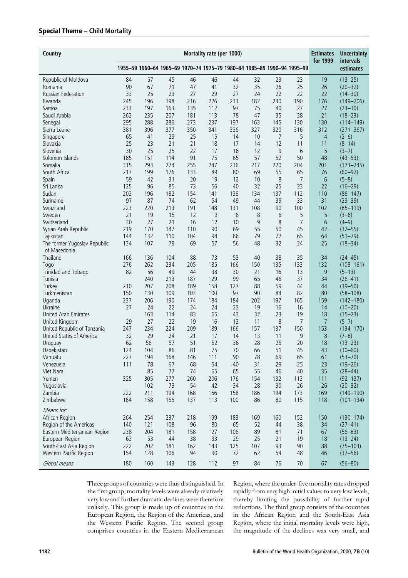# Special Theme – Child Mortality

| Country                                    | Mortality rate (per 1000) |            |           |                                                                         |          |          |          |          |                |                | <b>Uncertainty</b>           |
|--------------------------------------------|---------------------------|------------|-----------|-------------------------------------------------------------------------|----------|----------|----------|----------|----------------|----------------|------------------------------|
|                                            |                           |            |           | 1955-59 1960-64 1965-69 1970-74 1975-79 1980-84 1985-89 1990-94 1995-99 |          |          |          |          |                | for 1999       | intervals<br>estimates       |
| Republic of Moldova                        | 84                        | 57         | 45        | 46                                                                      | 46       | 44       | 32       | 23       | 23             | 19             | $(13 - 25)$                  |
| Romania                                    | 90                        | 67         | 71        | 47                                                                      | 41       | 32       | 35       | 26       | 25             | 26             | $(20 - 32)$                  |
| <b>Russian Federation</b>                  | 33                        | 25         | 23        | 27                                                                      | 29       | 27       | 24       | 22       | 22             | 22             | $(14 - 30)$                  |
| Rwanda                                     | 245                       | 196        | 198       | 216                                                                     | 226      | 213      | 182      | 230      | 190            | 176            | $(149 - 206)$                |
| Samoa                                      | 233                       | 197        | 163       | 135                                                                     | 112      | 97       | 75       | 40       | 27             | 27             | $(23 - 30)$                  |
| Saudi Arabia                               | 262                       | 235        | 207       | 181                                                                     | 113      | 78       | 47       | 35       | 28             | 21             | $(18 - 23)$                  |
| Senegal                                    | 295                       | 288        | 286       | 273                                                                     | 237      | 197      | 163      | 145      | 130            | 130            | $(114 - 149)$                |
| Sierra Leone                               | 381                       | 396        | 377       | 350                                                                     | 341      | 336      | 327      | 320      | 316            | 312            | $(271 - 367)$                |
| Singapore                                  | 65                        | 41         | 29        | 25                                                                      | 15       | 14       | 10       | 7        | 5              | $\overline{4}$ | $(2-6)$                      |
| Slovakia                                   | 25                        | 23         | 21        | 21                                                                      | 18       | 17       | 14       | 12       | 11             | 11             | $(8-14)$                     |
| Slovenia                                   | 30                        | 25         | 25        | 22                                                                      | 17       | 16       | 12       | 9        | 6              | 5              | $(3 - 7)$                    |
| Solomon Islands                            | 185                       | 151        | 114       | 91                                                                      | 75       | 65       | 57       | 52       | 50             | 48             | $(43 - 53)$                  |
| Somalia                                    | 315                       | 293        | 274       | 255                                                                     | 247      | 236      | 217      | 220      | 204            | 201            | $(173 - 245)$                |
| South Africa                               | 217                       | 199        | 176       | 133                                                                     | 89       | 80       | 69       | 55       | 65             | 76             | $(60 - 92)$                  |
| Spain                                      | 59                        | 42         | 31        | 20                                                                      | 19       | 12       | 10       | 8        | 7              | 6              | $(5-8)$                      |
| Sri Lanka                                  | 125                       | 96         | 85        | 73                                                                      | 56       | 40       | 32       | 25       | 23             | 22             | $(16 - 29)$                  |
| Sudan                                      | 202                       | 196        | 182       | 154                                                                     | 141      | 138      | 134      | 137      | 112            | 110            | $(86 - 147)$                 |
| Suriname                                   | 97                        | 87         | 74        | 62                                                                      | 54       | 49       | 44       | 39       | 33             | 31             | $(23 - 39)$                  |
| Swaziland                                  | 223                       | 220        | 213       | 191                                                                     | 148      | 131      | 108      | 90       | 100            | 102            | $(85 - 119)$                 |
| Sweden                                     | 21                        | 19         | 15        | 12                                                                      | 9        | 8        | 8        | 6        | 5              | 5              | $(3-6)$                      |
| Switzerland                                | 30                        | 27         | 21        | 16                                                                      | 12       | 10       | 9        | 8        | $\overline{7}$ | 6              | $(4-9)$                      |
| Syrian Arab Republic                       | 219                       | 170        | 147       | 110                                                                     | 90       | 69       | 55       | 50       | 45             | 42             | $(32 - 55)$                  |
| Tajikistan<br>The former Yugoslav Republic | 144<br>134                | 132<br>107 | 110<br>79 | 104<br>69                                                               | 94<br>57 | 86<br>56 | 79<br>48 | 72<br>32 | 65<br>24       | 64<br>25       | $(51 - 79)$                  |
| of Macedonia                               |                           |            |           |                                                                         |          |          |          |          |                |                | $(18 - 34)$                  |
| Thailand                                   | 166                       | 136        | 104       | 88                                                                      | 73       | 53       | 40       | 38       | 35             | 34             |                              |
| Togo                                       | 276                       | 262        | 234       | 205                                                                     | 185      | 166      | 150      | 135      | 133            | 132            | $(24 - 45)$<br>$(108 - 161)$ |
| Trinidad and Tobago                        | 82                        | 56         | 49        | 44                                                                      | 38       | 30       | 21       | 16       | 13             | 9              | $(5-13)$                     |
| Tunisia                                    |                           | 240        | 213       | 187                                                                     | 129      | 99       | 65       | 46       | 37             | 34             | $(26 - 41)$                  |
| Turkey                                     | 210                       | 207        | 208       | 189                                                                     | 158      | 127      | 88       | 59       | 44             | 44             | $(39 - 50)$                  |
| Turkmenistan                               | 150                       | 130        | 109       | 103                                                                     | 100      | 97       | 90       | 84       | 82             | 80             | $(58 - 108)$                 |
| Uganda                                     | 237                       | 206        | 190       | 174                                                                     | 184      | 184      | 202      | 197      | 165            | 159            | $(142 - 180)$                |
| Ukraine                                    | 27                        | 24         | 22        | 24                                                                      | 24       | 22       | 19       | 16       | 16             | 14             | $(10 - 20)$                  |
| <b>United Arab Emirates</b>                |                           | 163        | 114       | 83                                                                      | 65       | 43       | 32       | 23       | 19             | 18             | $(15 - 23)$                  |
| United Kingdom                             | 29                        | 27         | 22        | 19                                                                      | 16       | 13       | 11       | 8        | 7              | $\overline{7}$ | $(5-7)$                      |
| United Republic of Tanzania                | 247                       | 234        | 224       | 209                                                                     | 189      | 166      | 157      | 137      | 150            | 153            | $(134 - 170)$                |
| United States of America                   | 32                        | 29         | 24        | 21                                                                      | 17       | 14       | 13       | 11       | 9              | 8              | $(7-8)$                      |
| Uruguay                                    | 62                        | 56         | 57        | 51                                                                      | 52       | 36       | 28       | 25       | 20             | 18             | $(13 - 23)$                  |
| Uzbekistan                                 | 124                       | 104        | 86        | 81                                                                      | 75       | 70       | 66       | 51       | 45             | 43             | $(30 - 60)$                  |
| Vanuatu                                    | 227                       | 194        | 168       | 146                                                                     | 111      | 90       | 78       | 69       | 65             | 61             | $(53 - 70)$                  |
| Venezuela                                  | 111                       | 78         | 67        | 68                                                                      | 54       | 40       | 31       | 29       | 25             | 23             | $(19 - 26)$                  |
| Viet Nam                                   |                           | 85         | 77        | 74                                                                      | 65       | 65       | 55       | 46       | 40             | 35             | $(28 - 44)$                  |
| Yemen                                      | 325                       | 305        | 277       | 260                                                                     | 206      | 176      | 154      | 132      | 113            | 111            | $(92 - 137)$                 |
| Yugoslavia                                 |                           | 102        | 73        | 54                                                                      | 42       | 34       | 28       | 30       | 26             | 26             | $(20 - 32)$                  |
| Zambia                                     | 222                       | 211        | 194       | 168                                                                     | 156      | 158      | 186      | 194      | 173            | 169            | $(149 - 190)$                |
| Zimbabwe                                   | 164                       | 158        | 155       | 137                                                                     | 113      | 100      | 86       | 80       | 115            | 118            | $(101 - 134)$                |
| Means for:                                 |                           |            |           |                                                                         |          |          |          |          |                |                |                              |
| African Region                             | 264                       | 254        | 237       | 218                                                                     | 199      | 183      | 169      | 160      | 152            | 150            | $(130 - 174)$                |
| Region of the Americas                     | 140                       | 121        | 108       | 96                                                                      | 80       | 65       | 52       | 44       | 38             | 34             | $(27 - 41)$                  |
| Eastern Mediterranean Region               | 238                       | 204        | 181       | 158                                                                     | 127      | 106      | 89       | 81       | 71             | 67             | $(56 - 83)$                  |
| European Region                            | 63                        | 53         | 44        | 38                                                                      | 33       | 29       | 25       | 21       | 19             | 18             | $(13 - 24)$                  |
| South-East Asia Region                     | 222                       | 202        | 181       | 162                                                                     | 143      | 125      | 107      | 93       | 90             | 88             | $(75 - 103)$                 |
| Western Pacific Region                     | 154                       | 128        | 106       | 94                                                                      | 90       | 72       | 62       | 54       | 48             | 46             | $(37 - 56)$                  |
| Global means                               | 180                       | 160        | 143       | 128                                                                     | 112      | 97       | 84       | 76       | 70             | 67             | $(56 - 80)$                  |

Three groups of countries were thus distinguished. In the first group, mortality levels were already relatively very low and further dramatic declines were therefore unlikely. This group is made up of countries in the European Region, the Region of the Americas, and the Western Pacific Region. The second group comprises countries in the Eastern Mediterranean Region, where the under-five mortality rates dropped rapidly from very high initial values to very low levels, thereby limiting the possibility of further rapid reductions. The third group consists of the countries in the African Region and the South-East Asia Region, where the initial mortality levels were high, the magnitude of the declines was very small, and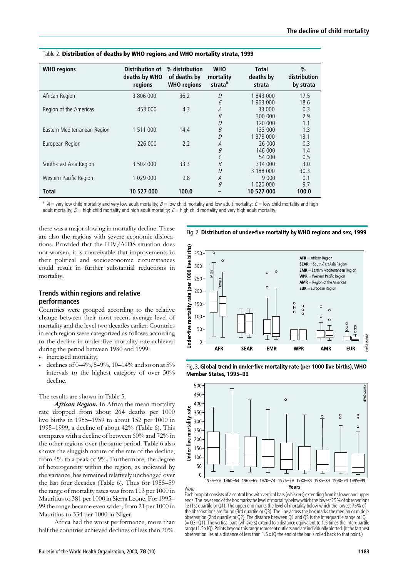| <b>WHO</b> regions           | Distribution of<br>deaths by WHO<br>regions | % distribution<br>of deaths by<br><b>WHO</b> regions | <b>WHO</b><br>mortality<br>strata <sup>a</sup> | <b>Total</b><br>deaths by<br>strata | $\%$<br>distribution<br>by strata |
|------------------------------|---------------------------------------------|------------------------------------------------------|------------------------------------------------|-------------------------------------|-----------------------------------|
| African Region               | 3 806 000                                   | 36.2                                                 | D                                              | 1843000                             | 17.5                              |
|                              |                                             |                                                      | E                                              | 963 000                             | 18.6                              |
| Region of the Americas       | 453 000                                     | 4.3                                                  | $\overline{A}$                                 | 33 000                              | 0.3                               |
|                              |                                             |                                                      | B                                              | 300 000                             | 2.9                               |
|                              |                                             |                                                      | D                                              | 120,000                             | 1.1                               |
| Eastern Mediterranean Region | 1 511 000                                   | 14.4                                                 | B                                              | 133 000                             | 1.3                               |
|                              |                                             |                                                      | D                                              | 1 378 000                           | 13.1                              |
| European Region              | 226 000                                     | 2.2                                                  | $\overline{A}$                                 | 26,000                              | 0.3                               |
|                              |                                             |                                                      | B                                              | 146 000                             | 1.4                               |
|                              |                                             |                                                      |                                                | 54 000                              | 0.5                               |
| South-East Asia Region       | 3 502 000                                   | 33.3                                                 | B                                              | 314 000                             | 3.0                               |
|                              |                                             |                                                      | D                                              | 3 188 000                           | 30.3                              |
| Western Pacific Region       | 1 029 000                                   | 9.8                                                  | A                                              | 9 0 0 0                             | 0.1                               |
|                              |                                             |                                                      | B                                              | 1 020 000                           | 9.7                               |
| <b>Total</b>                 | 10 527 000                                  | 100.0                                                |                                                | 10 527 000                          | 100.0                             |

#### Table 2. Distribution of deaths by WHO regions and WHO mortality strata, 1999

 $a$  A = very low child mortality and very low adult mortality;  $B =$  low child mortality and low adult mortality;  $C =$  low child mortality and high adult mortality;  $D =$  high child mortality and high adult mortality;  $E =$  high child mortality and very high adult mortality.

there was a major slowing in mortality decline. These are also the regions with severe economic dislocations. Provided that the HIV/AIDS situation does not worsen, it is conceivable that improvements in their political and socioeconomic circumstances could result in further substantial reductions in mortality.

#### Trends within regions and relative performances

Countries were grouped according to the relative change between their most recent average level of mortality and the level two decades earlier. Countries in each region were categorized as follows according to the decline in under-five mortality rate achieved during the period between 1980 and 1999:

- . increased mortality;
- declines of  $0-4\%$ ,  $5-9\%$ ,  $10-14\%$  and so on at  $5\%$ intervals to the highest category of over 50% decline.

The results are shown in Table 5.

African Region. In Africa the mean mortality rate dropped from about 264 deaths per 1000 live births in 1955–1959 to about 152 per 1000 in 1995–1999, a decline of about 42% (Table 6). This compares with a decline of between 60% and 72% in the other regions over the same period. Table 6 also shows the sluggish nature of the rate of the decline, from 4% to a peak of 9%. Furthermore, the degree of heterogeneity within the region, as indicated by the variance, has remained relatively unchanged over the last four decades (Table 6). Thus for 1955–59 the range of mortality rates was from 113 per 1000 in Mauritius to 381 per 1000 in Sierra Leone. For 1995– 99 the range became even wider, from 21 per 1000 in Mauritius to 334 per 1000 in Niger.

Africa had the worst performance, more than half the countries achieved declines of less than 20%.



Fig. 2. Distribution of under-five mortality by WHO regions and sex, 1999





Each boxplot consists of a central box with vertical bars (whiskers) extending from its lower and upper ends.Thelowerendoftheboxmarksthelevelofmortalitybelowwhichthelowest25%ofobservations lie (1st quartile or Q1). The upper end marks the level of mortality below which the lowest 75% of the observations are found (3rd quartile or Q3). The line across the box marks the median or middle observation (2nd quartile or Q2). The distance between Q1 and Q3 is the interquartile range or IQ (= Q3–Q1). The vertical bars (whiskers) extend to a distance equivalent to 1.5 times the interquartile range (1.5 x IQ). Points beyond this range represent outliers and are individually plotted. (If the farthest observation lies at a distance of less than 1.5 x IQ the end of the bar is rolled back to that point.)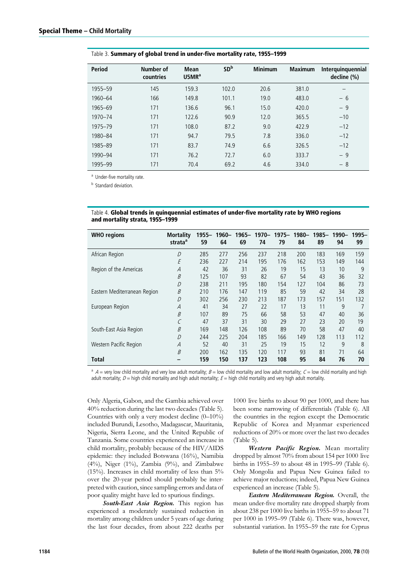| <b>Period</b> | Number of<br>countries | <b>Mean</b><br>USMR <sup>a</sup> | SD <sup>b</sup> | <b>Minimum</b> | <b>Maximum</b> | Interquinquennial<br>decline (%) |
|---------------|------------------------|----------------------------------|-----------------|----------------|----------------|----------------------------------|
| 1955-59       | 145                    | 159.3                            | 102.0           | 20.6           | 381.0          |                                  |
| 1960-64       | 166                    | 149.8                            | 101.1           | 19.0           | 483.0          | $-6$                             |
| 1965-69       | 171                    | 136.6                            | 96.1            | 15.0           | 420.0          | $-9$                             |
| 1970-74       | 171                    | 122.6                            | 90.9            | 12.0           | 365.5          | $-10$                            |
| 1975-79       | 171                    | 108.0                            | 87.2            | 9.0            | 422.9          | $-12$                            |
| 1980-84       | 171                    | 94.7                             | 79.5            | 7.8            | 336.0          | $-12$                            |
| 1985-89       | 171                    | 83.7                             | 74.9            | 6.6            | 326.5          | $-12$                            |
| 1990-94       | 171                    | 76.2                             | 72.7            | 6.0            | 333.7          | $-9$                             |
| 1995-99       | 171                    | 70.4                             | 69.2            | 4.6            | 334.0          | - 8                              |
|               |                        |                                  |                 |                |                |                                  |

#### Table 3. Summary of global trend in under-five mortality rate, 1955–1999

<sup>a</sup> Under-five mortality rate.

**b** Standard deviation.

Table 4. Global trends in quinquennial estimates of under-five mortality rate by WHO regions and mortality strata, 1955–1999

| <b>WHO regions</b>           | <b>Mortality</b><br>strata <sup>a</sup> | 1955–<br>59 | 64  | 69  | 1960- 1965- 1970- 1975- 1980-<br>74 | 79  | 84  | 1985–<br>89 | 1990-<br>94 | 1995-<br>99 |
|------------------------------|-----------------------------------------|-------------|-----|-----|-------------------------------------|-----|-----|-------------|-------------|-------------|
| African Region               | D                                       | 285         | 277 | 256 | 237                                 | 218 | 200 | 183         | 169         | 159         |
|                              | Ε                                       | 236         | 227 | 214 | 195                                 | 176 | 162 | 153         | 149         | 144         |
| Region of the Americas       | A                                       | 42          | 36  | 31  | 26                                  | 19  | 15  | 13          | 10          | 9           |
|                              | B                                       | 125         | 107 | 93  | 82                                  | 67  | 54  | 43          | 36          | 32          |
|                              | D                                       | 238         | 211 | 195 | 180                                 | 154 | 127 | 104         | 86          | 73          |
| Eastern Mediterranean Region | B                                       | 210         | 176 | 147 | 119                                 | 85  | 59  | 42          | 34          | 28          |
|                              | D                                       | 302         | 256 | 230 | 213                                 | 187 | 173 | 157         | 151         | 132         |
| European Region              | A                                       | 41          | 34  | 27  | 22                                  | 17  | 13  | 11          | 9           |             |
|                              | B                                       | 107         | 89  | 75  | 66                                  | 58  | 53  | 47          | 40          | 36          |
|                              |                                         | 47          | 37  | 31  | 30                                  | 29  | 27  | 23          | 20          | 19          |
| South-East Asia Region       | B                                       | 169         | 148 | 126 | 108                                 | 89  | 70  | 58          | 47          | 40          |
|                              | D                                       | 244         | 225 | 204 | 185                                 | 166 | 149 | 128         | 113         | 112         |
| Western Pacific Region       | A                                       | 52          | 40  | 31  | 25                                  | 19  | 15  | 12          | 9           | 8           |
|                              | B                                       | 200         | 162 | 135 | 120                                 | 117 | 93  | 81          | 71          | 64          |
| Total                        |                                         | 159         | 150 | 137 | 123                                 | 108 | 95  | 84          | 76          | 70          |

 $a^a$  A = very low child mortality and very low adult mortality;  $B =$  low child mortality and low adult mortality;  $C =$  low child mortality and high adult mortality;  $D =$  high child mortality and high adult mortality;  $E =$  high child mortality and very high adult mortality.

Only Algeria, Gabon, and the Gambia achieved over 40% reduction during the last two decades (Table 5). Countries with only a very modest decline (0–10%) included Burundi, Lesotho, Madagascar, Mauritania, Nigeria, Sierra Leone, and the United Republic of Tanzania. Some countries experienced an increase in child mortality, probably because of the HIV/AIDS epidemic: they included Botswana (16%), Namibia  $(4\%)$ , Niger  $(1\%)$ , Zambia  $(9\%)$ , and Zimbabwe (15%). Increases in child mortality of less than  $5%$ over the 20-year period should probably be interpreted with caution, since sampling errors and data of poor quality might have led to spurious findings.

South-East Asia Region. This region has experienced a moderately sustained reduction in mortality among children under 5 years of age during the last four decades, from about 222 deaths per

1000 live births to about 90 per 1000, and there has been some narrowing of differentials (Table 6). All the countries in the region except the Democratic Republic of Korea and Myanmar experienced reductions of 20% or more over the last two decades (Table 5).

Western Pacific Region. Mean mortality dropped by almost 70% from about 154 per 1000 live births in 1955–59 to about 48 in 1995–99 (Table 6). Only Mongolia and Papua New Guinea failed to achieve major reductions; indeed, Papua New Guinea experienced an increase (Table 5).

Eastern Mediterranean Region. Overall, the mean under-five mortality rate dropped sharply from about 238 per 1000 live births in 1955–59 to about 71 per 1000 in 1995–99 (Table 6). There was, however, substantial variation. In 1955–59 the rate for Cyprus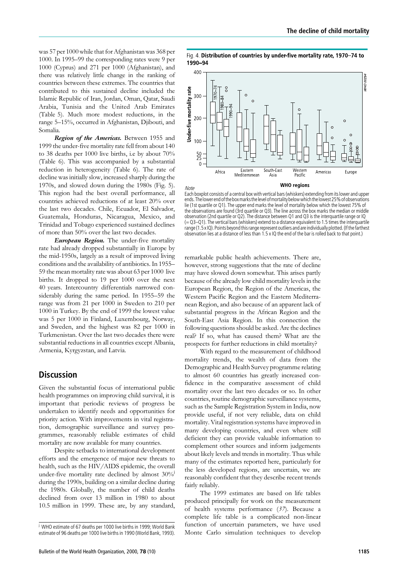was 57 per 1000 while that for Afghanistan was 368 per 1000. In 1995–99 the corresponding rates were 9 per 1000 (Cyprus) and 271 per 1000 (Afghanistan), and there was relatively little change in the ranking of countries between these extremes. The countries that contributed to this sustained decline included the Islamic Republic of Iran, Jordan, Oman, Qatar, Saudi Arabia, Tunisia and the United Arab Emirates (Table 5). Much more modest reductions, in the range 5–15%, occurred in Afghanistan, Djibouti, and Somalia.

Region of the Americas. Between 1955 and 1999 the under-five mortality rate fell from about 140 to 38 deaths per 1000 live births, i.e by about 70% (Table 6). This was accompanied by a substantial reduction in heterogeneity (Table 6). The rate of decline was initially slow, increased sharply during the 1970s, and slowed down during the 1980s (Fig. 5). This region had the best overall performance, all countries achieved reductions of at least 20% over the last two decades. Chile, Ecuador, El Salvador, Guatemala, Honduras, Nicaragua, Mexico, and Trinidad and Tobago experienced sustained declines of more than 50% over the last two decades.

**European Region.** The under-five mortality rate had already dropped substantially in Europe by the mid-1950s, largely as a result of improved living conditions and the availability of antibiotics. In 1955– 59 the mean mortality rate was about 63 per 1000 live births. It dropped to 19 per 1000 over the next 40 years. Intercountry differentials narrowed considerably during the same period. In 1955–59 the range was from 21 per 1000 in Sweden to 210 per 1000 in Turkey. By the end of 1999 the lowest value was 5 per 1000 in Finland, Luxembourg, Norway, and Sweden, and the highest was 82 per 1000 in Turkmenistan. Over the last two decades there were substantial reductions in all countries except Albania, Armenia, Kyrgyzstan, and Latvia.

# **Discussion**

Given the substantial focus of international public health programmes on improving child survival, it is important that periodic reviews of progress be undertaken to identify needs and opportunities for priority action. With improvements in vital registration, demographic surveillance and survey programmes, reasonably reliable estimates of child mortality are now available for many countries.

Despite setbacks to international development efforts and the emergence of major new threats to health, such as the HIV/AIDS epidemic, the overall under-five mortality rate declined by almost  $30\%$ during the 1990s, building on a similar decline during the 1980s. Globally, the number of child deaths declined from over 13 million in 1980 to about 10.5 million in 1999. These are, by any standard,

Fig. 4. Distribution of countries by under-five mortality rate, 1970-74 to 1990-94



Each boxplot consists of a central box with vertical bars (whiskers) extending from its lower and upper ends.Thelowerendoftheboxmarksthelevelofmortalitybelowwhichthelowest25%ofobservations lie (1st quartile or Q1). The upper end marks the level of mortality below which the lowest 75% of the observations are found (3rd quartile or Q3). The line across the box marks the median or middle observation (2nd quartile or Q2). The distance between Q1 and Q3 is the interquartile range or IQ (= Q3–Q1). The vertical bars (whiskers) extend to a distance equivalent to 1.5 times the interquartile range (1.5 x IQ). Points beyond this range represent outliers and are individually plotted. (If the farthest observation lies at a distance of less than 1.5 x IQ the end of the bar is rolled back to that point.)

remarkable public health achievements. There are, however, strong suggestions that the rate of decline may have slowed down somewhat. This arises partly because of the already low child mortality levels in the European Region, the Region of the Americas, the Western Pacific Region and the Eastern Mediterranean Region, and also because of an apparent lack of substantial progress in the African Region and the South-East Asia Region. In this connection the following questions should be asked. Are the declines real? If so, what has caused them? What are the prospects for further reductions in child mortality?

With regard to the measurement of childhood mortality trends, the wealth of data from the Demographic and Health Survey programme relating to almost 60 countries has greatly increased confidence in the comparative assessment of child mortality over the last two decades or so. In other countries, routine demographic surveillance systems, such as the Sample Registration System in India, now provide useful, if not very reliable, data on child mortality. Vital registration systems have improved in many developing countries, and even where still deficient they can provide valuable information to complement other sources and inform judgements about likely levels and trends in mortality. Thus while many of the estimates reported here, particularly for the less developed regions, are uncertain, we are reasonably confident that they describe recent trends fairly reliably.

The 1999 estimates are based on life tables produced principally for work on the measurement of health systems performance (37). Because a complete life table is a complicated non-linear function of uncertain parameters, we have used Monte Carlo simulation techniques to develop

j <sup>j</sup> WHO estimate of 67 deaths per 1000 live births in 1999; World Bank estimate of 96 deaths per 1000 live births in 1990 (World Bank, 1993).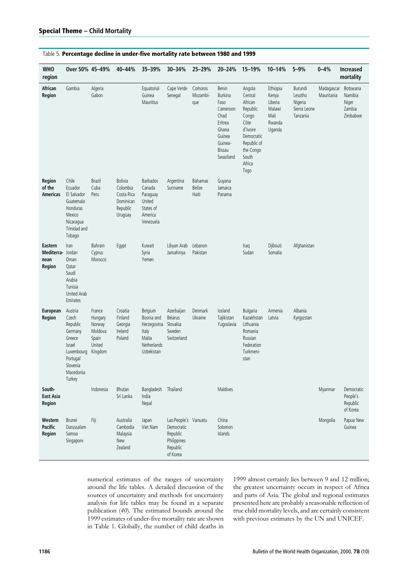| Table 5. Percentage decline in under-five mortality rate between 1980 and 1999 |  |  |
|--------------------------------------------------------------------------------|--|--|
|                                                                                |  |  |

| <b>WHO</b><br>region                                  | Over 50% 45-49%                                                                                                          |                                                                      | 40-44%                                                                | 35-39%                                                                               | 30-34%                                                                                | 25-29%                                   | 20-24%                                                                                                              | 15-19%                                                                                                                                     | 10-14%                                                             | $5 - 9%$                                                  | $0 - 4%$                 | <b>Increased</b><br>mortality                      |
|-------------------------------------------------------|--------------------------------------------------------------------------------------------------------------------------|----------------------------------------------------------------------|-----------------------------------------------------------------------|--------------------------------------------------------------------------------------|---------------------------------------------------------------------------------------|------------------------------------------|---------------------------------------------------------------------------------------------------------------------|--------------------------------------------------------------------------------------------------------------------------------------------|--------------------------------------------------------------------|-----------------------------------------------------------|--------------------------|----------------------------------------------------|
| African<br>Region                                     | Gambia                                                                                                                   | Algeria<br>Gabon                                                     |                                                                       | Equatorial<br>Guinea<br>Mauritius                                                    | Cape Verde<br>Senegal                                                                 | Comoros<br>Mozambi-<br>que               | Benin<br><b>Burkina</b><br>Faso<br>Cameroon<br>Chad<br>Eritrea<br>Ghana<br>Guinea<br>Guinea-<br>Bissau<br>Swaziland | Angola<br>Central<br>African<br>Republic<br>Congo<br>Côte<br>d'Ivoire<br>Democratic<br>Republic of<br>the Congo<br>South<br>Africa<br>Togo | Ethiopia<br>Kenya<br>Liberia<br>Malawi<br>Mali<br>Rwanda<br>Uganda | Burundi<br>Lesotho<br>Nigeria<br>Sierra Leone<br>Tanzania | Madagascar<br>Mauritania | Botswana<br>Namibia<br>Niger<br>Zambia<br>Zimbabwe |
| <b>Region</b><br>of the<br>Americas                   | Chile<br>Ecuador<br>El Salvador<br>Guatemala<br>Honduras<br>Mexico<br>Nicaragua<br>Trinidad and<br>Tobago                | <b>Brazil</b><br>Cuba<br>Peru                                        | Bolivia<br>Colombia<br>Costa Rica<br>Dominican<br>Republic<br>Uruguay | <b>Barbados</b><br>Canada<br>Paraguay<br>United<br>States of<br>America<br>Venezuela | Argentina<br>Suriname                                                                 | <b>Bahamas</b><br><b>Belize</b><br>Haiti | Guyana<br>Jamaica<br>Panama                                                                                         |                                                                                                                                            |                                                                    |                                                           |                          |                                                    |
| <b>Eastern</b><br>Mediterra- Jordan<br>nean<br>Region | Iran<br>Oman<br>Qatar<br>Saudi<br>Arabia<br>Tunisia<br><b>United Arab</b><br>Emirates                                    | Bahrain<br>Cyprus<br>Morocco                                         | Egypt                                                                 | Kuwait<br>Syria<br>Yemen                                                             | Libyan Arab<br>Jamahiriya                                                             | Lebanon<br>Pakistan                      |                                                                                                                     | Iraq<br>Sudan                                                                                                                              | Djibouti<br>Somalia                                                | Afghanistan                                               |                          |                                                    |
| <b>European</b><br>Region                             | Austria<br>Czech<br>Republic<br>Germany<br>Greece<br>Israel<br>Luxembourg<br>Portugal<br>Slovenia<br>Macedonia<br>Turkey | France<br>Hungary<br>Norway<br>Moldova<br>Spain<br>United<br>Kingdom | Croatia<br>Finland<br>Georgia<br>Ireland<br>Poland                    | Belgium<br>Bosnia and<br>Herzegovina<br>Italy<br>Malta<br>Netherlands<br>Uzbekistan  | Azerbaijan<br><b>Belarus</b><br>Slovakia<br>Sweden<br>Switzerland                     | Denmark<br>Ukraine                       | Iceland<br>Tajikistan<br>Yuqoslavia                                                                                 | <b>Bulgaria</b><br>Kazakhstan<br>Lithuania<br>Romania<br>Russian<br>Federation<br>Turkmeni-<br>stan                                        | Armenia<br>Latvia                                                  | Albania<br>Kyrgyzstan                                     |                          |                                                    |
| South-<br><b>East Asia</b><br>Region                  |                                                                                                                          | Indonesia                                                            | Bhutan<br>Sri Lanka                                                   | Bangladesh<br>India<br>Nepal                                                         | Thailand                                                                              |                                          | Maldives                                                                                                            |                                                                                                                                            |                                                                    |                                                           | Myanmar                  | Democratic<br>People's<br>Republic<br>of Korea     |
| Western<br><b>Pacific</b><br>Region                   | <b>Brunei</b><br>Darussalam<br>Samoa<br>Singapore                                                                        | Fiji                                                                 | Australia<br>Cambodia<br>Malaysia<br>New<br>Zealand                   | Japan<br>Viet Nam                                                                    | Lao People's Vanuatu<br>Democratic<br>Republic<br>Philippines<br>Republic<br>of Korea |                                          | China<br>Solomon<br>Islands                                                                                         |                                                                                                                                            |                                                                    |                                                           | Mongolia                 | Papua New<br>Guinea                                |

numerical estimates of the ranges of uncertainty around the life tables. A detailed discussion of the sources of uncertainty and methods for uncertainty analysis for life tables may be found in a separate publication (40). The estimated bounds around the 1999 estimates of under-five mortality rate are shown in Table 1. Globally, the number of child deaths in

1999 almost certainly lies between 9 and 12 million; the greatest uncertainty occurs in respect of Africa and parts of Asia. The global and regional estimates presented here are probably a reasonable reflection of true child mortality levels, and are certainly consistent with previous estimates by the UN and UNICEF.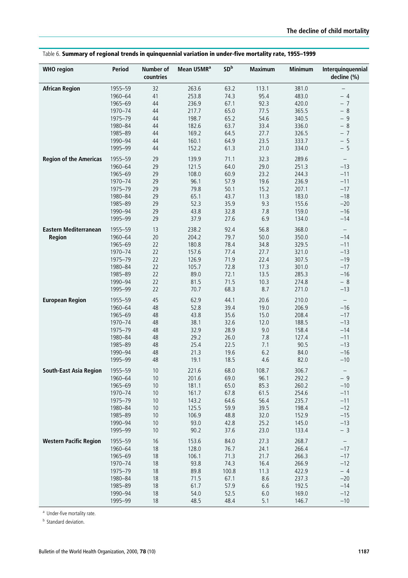| <b>WHO</b> region             | <b>Period</b> | <b>Number of</b><br>countries | Mean U5MR <sup>a</sup> | SD <sup>b</sup> | <b>Maximum</b> | <b>Minimum</b> | Interquinquennial<br>decline (%) |
|-------------------------------|---------------|-------------------------------|------------------------|-----------------|----------------|----------------|----------------------------------|
| <b>African Region</b>         | 1955-59       | 32                            | 263.6                  | 63.2            | 113.1          | 381.0          |                                  |
|                               | 1960-64       | 41                            | 253.8                  | 74.3            | 95.4           | 483.0          | $-4$                             |
|                               | 1965-69       | 44                            | 236.9                  | 67.1            | 92.3           | 420.0          | $-7$                             |
|                               | 1970-74       | 44                            | 217.7                  | 65.0            | 77.5           | 365.5          | $-8$                             |
|                               | 1975-79       | 44                            | 198.7                  | 65.2            | 54.6           | 340.5          | $-9$                             |
|                               | 1980-84       | 44                            | 182.6                  | 63.7            | 33.4           | 336.0          | $-8$                             |
|                               | 1985-89       | 44                            | 169.2                  | 64.5            | 27.7           | 326.5          | $-7$                             |
|                               | 1990-94       | 44                            | 160.1                  | 64.9            | 23.5           | 333.7          | $-5$                             |
|                               | 1995-99       | 44                            | 152.2                  | 61.3            | 21.0           | 334.0          | $-5$                             |
| <b>Region of the Americas</b> | 1955-59       | 29                            | 139.9                  | 71.1            | 32.3           | 289.6          | $\qquad \qquad -$                |
|                               | 1960-64       | 29                            | 121.5                  | 64.0            | 29.0           | 251.3          | $-13$                            |
|                               | 1965-69       | 29                            | 108.0                  | 60.9            | 23.2           | 244.3          | $-11$                            |
|                               | 1970-74       | 29                            | 96.1                   | 57.9            | 19.6           | 236.9          | $-11$                            |
|                               | 1975-79       | 29                            | 79.8                   | 50.1            | 15.2           | 207.1          | $-17$                            |
|                               | 1980-84       | 29                            | 65.1                   | 43.7            | 11.3           | 183.0          | $-18$                            |
|                               | 1985-89       | 29                            | 52.3                   | 35.9            | 9.3            | 155.6          | $-20$                            |
|                               | 1990-94       | 29                            | 43.8                   | 32.8            | 7.8            | 159.0          | $-16$                            |
|                               | 1995-99       | 29                            | 37.9                   | 27.6            | 6.9            | 134.0          | $-14$                            |
| <b>Eastern Mediterranean</b>  | 1955-59       | 13                            | 238.2                  | 92.4            | 56.8           | 368.0          |                                  |
| Region                        | 1960-64       | 20                            | 204.2                  | 79.7            | 50.0           | 350.0          | $-14$                            |
|                               | 1965-69       | 22                            | 180.8                  | 78.4            | 34.8           | 329.5          | $-11$                            |
|                               | 1970-74       | 22                            | 157.6                  | 77.4            | 27.7           | 321.0          | $-13$                            |
|                               | 1975-79       | 22                            | 126.9                  | 71.9            | 22.4           | 307.5          | $-19$                            |
|                               | 1980-84       | 22                            | 105.7                  | 72.8            | 17.3           | 301.0          | $-17$                            |
|                               | 1985-89       | 22                            | 89.0                   | 72.1            | 13.5           | 285.3          | $-16$                            |
|                               | 1990-94       | 22                            | 81.5                   | 71.5            | 10.3           | 274.8          | $-8$                             |
|                               | 1995-99       | 22                            | 70.7                   | 68.3            | 8.7            | 271.0          | $-13$                            |
| <b>European Region</b>        | 1955-59       | 45                            | 62.9                   | 44.1            | 20.6           | 210.0          | $\qquad \qquad -$                |
|                               | 1960-64       | 48                            | 52.8                   | 39.4            | 19.0           | 206.9          | $-16$                            |
|                               | 1965-69       | 48                            | 43.8                   | 35.6            | 15.0           | 208.4          | $-17$                            |
|                               | 1970-74       | 48                            | 38.1                   | 32.6            | 12.0           | 188.5          | $-13$                            |
|                               | 1975-79       | 48                            | 32.9                   | 28.9            | 9.0            | 158.4          | $-14$                            |
|                               | 1980-84       | 48                            | 29.2                   | 26.0            | 7.8            | 127.4          | $-11$                            |
|                               | 1985-89       | 48                            | 25.4                   | 22.5            | 7.1            | 90.5           | $-13$                            |
|                               | 1990-94       | 48                            | 21.3                   | 19.6            | 6.2            | 84.0           | $-16$                            |
|                               | 1995-99       | 48                            | 19.1                   | 18.5            | 4.6            | 82.0           | $-10$                            |
| <b>South-East Asia Region</b> | 1955-59       | 10                            | 221.6                  | 68.0            | 108.7          | 306.7          | $\qquad \qquad -$                |
|                               | 1960-64       | 10                            | 201.6                  | 69.0            | 96.1           | 292.2          | $-9$                             |
|                               | 1965-69       | 10                            | 181.1                  | 65.0            | 85.3           | 260.2          | $-10$                            |
|                               | 1970-74       | 10                            | 161.7                  | 67.8            | 61.5           | 254.6          | $-11$                            |
|                               | 1975-79       | 10                            | 143.2                  | 64.6            | 56.4           | 235.7          | $-11$                            |
|                               | 1980-84       | 10                            | 125.5                  | 59.9            | 39.5           | 198.4          | $-12$                            |
|                               | 1985-89       | $10$                          | 106.9                  | 48.8            | 32.0           | 152.9          | $-15$                            |
|                               | 1990-94       | 10                            | 93.0                   | 42.8            | 25.2           | 145.0          | $-13$                            |
|                               | 1995-99       | 10                            | 90.2                   | 37.6            | 23.0           | 133.4          | $-3$                             |
| <b>Western Pacific Region</b> | 1955-59       | 16                            | 153.6                  | 84.0            | 27.3           | 268.7          | $\overline{\phantom{m}}$         |
|                               | 1960-64       | 18                            | 128.0                  | 76.7            | 24.1           | 266.4          | $-17$                            |
|                               | 1965-69       | 18                            | 106.1                  | 71.3            | 21.7           | 266.3          | $-17$                            |
|                               | 1970-74       | 18                            | 93.8                   | 74.3            | 16.4           | 266.9          | $-12$                            |
|                               | 1975-79       | 18                            | 89.8                   | 100.8           | 11.3           | 422.9          | $-4$                             |
|                               | 1980-84       | 18                            | 71.5                   | 67.1            | 8.6            | 237.3          | $-20$                            |
|                               | 1985-89       | 18                            | 61.7                   | 57.9            | 6.6            | 192.5          | $-14$                            |
|                               | 1990-94       | 18                            | 54.0                   | 52.5            | $6.0\,$        | 169.0          | $-12$                            |
|                               | 1995-99       | 18                            | 48.5                   | 48.4            | 5.1            | 146.7          | $-10$                            |

# Table 6. Summary of regional trends in quinquennial variation in under-five mortality rate, 1955–1999

<sup>a</sup> Under-five mortality rate.

**b** Standard deviation.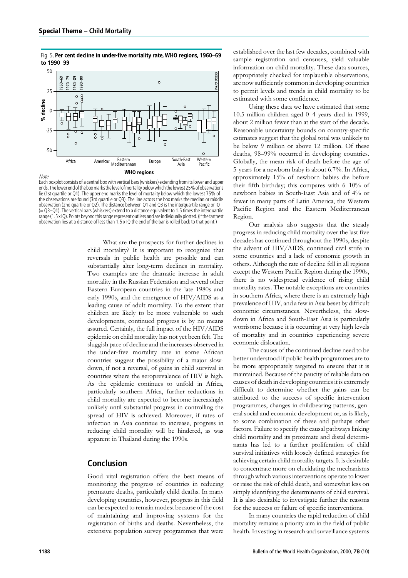Fig. 5. Per cent decline in under-five mortality rate, WHO regions, 1960-69 to 1990-99



Each boxplot consists of a central box with vertical bars (whiskers) extending from its lower and upper ends.Thelowerendoftheboxmarksthelevelofmortalitybelowwhichthelowest25%ofobservations lie (1st quartile or Q1). The upper end marks the level of mortality below which the lowest 75% of the observations are found (3rd quartile or Q3). The line across the box marks the median or middle observation (2nd quartile or Q2). The distance between Q1 and Q3 is the interquartile range or IQ  $(= 03-01)$ . The vertical bars (whiskers) extend to a distance equivalent to 1.5 times the interquartile range (1.5 x IQ). Points beyond this range represent outliers and are individually plotted. (If the farthest observation lies at a distance of less than 1.5 x IQ the end of the bar is rolled back to that point.)

What are the prospects for further declines in child mortality? It is important to recognize that reversals in public health are possible and can substantially alter long-term declines in mortality. Two examples are the dramatic increase in adult mortality in the Russian Federation and several other Eastern European countries in the late 1980s and early 1990s, and the emergence of HIV/AIDS as a leading cause of adult mortality. To the extent that children are likely to be more vulnerable to such developments, continued progress is by no means assured. Certainly, the full impact of the HIV/AIDS epidemic on child mortality has not yet been felt. The sluggish pace of decline and the increases observed in the under-five mortality rate in some African countries suggest the possibility of a major slowdown, if not a reversal, of gains in child survival in countries where the seroprevalence of HIV is high. As the epidemic continues to unfold in Africa, particularly southern Africa, further reductions in child mortality are expected to become increasingly unlikely until substantial progress in controlling the spread of HIV is achieved. Moreover, if rates of infection in Asia continue to increase, progress in reducing child mortality will be hindered, as was apparent in Thailand during the 1990s.

# Conclusion

Good vital registration offers the best means of monitoring the progress of countries in reducing premature deaths, particularly child deaths. In many developing countries, however, progress in this field can be expected to remain modest because of the cost of maintaining and improving systems for the registration of births and deaths. Nevertheless, the extensive population survey programmes that were

established over the last few decades, combined with sample registration and censuses, yield valuable information on child mortality. These data sources, appropriately checked for implausible observations, are now sufficiently common in developing countries to permit levels and trends in child mortality to be estimated with some confidence.

Using these data we have estimated that some 10.5 million children aged 0–4 years died in 1999, about 2 million fewer than at the start of the decade. Reasonable uncertainty bounds on country-specific estimates suggest that the global total was unlikely to be below 9 million or above 12 million. Of these deaths, 98–99% occurred in developing countries. Globally, the mean risk of death before the age of 5 years for a newborn baby is about 6.7%. In Africa, approximately 15% of newborn babies die before their fifth birthday; this compares with 6–10% of newborn babies in South-East Asia and of 4% or fewer in many parts of Latin America, the Western Pacific Region and the Eastern Mediterranean Region.

Our analysis also suggests that the steady progress in reducing child mortality over the last five decades has continued throughout the 1990s, despite the advent of HIV/AIDS, continued civil strife in some countries and a lack of economic growth in others. Although the rate of decline fell in all regions except the Western Pacific Region during the 1990s, there is no widespread evidence of rising child mortality rates. The notable exceptions are countries in southern Africa, where there is an extremely high prevalence of HIV, and a few in Asia beset by difficult economic circumstances. Nevertheless, the slowdown in Africa and South-East Asia is particularly worrisome because it is occurring at very high levels of mortality and in countries experiencing severe economic dislocation.

The causes of the continued decline need to be better understood if public health programmes are to be more appropriately targeted to ensure that it is maintained. Because of the paucity of reliable data on causes of death in developing countries it is extremely difficult to determine whether the gains can be attributed to the success of specific intervention programmes, changes in childbearing patterns, general social and economic development or, as is likely, to some combination of these and perhaps other factors. Failure to specify the causal pathways linking child mortality and its proximate and distal determinants has led to a further proliferation of child survival initiatives with loosely defined strategies for achieving certain child mortality targets. It is desirable to concentrate more on elucidating the mechanisms through which various interventions operate to lower or raise the risk of child death, and somewhat less on simply identifying the determinants of child survival. It is also desirable to investigate further the reasons for the success or failure of specific interventions.

In many countries the rapid reduction of child mortality remains a priority aim in the field of public health. Investing in research and surveillance systems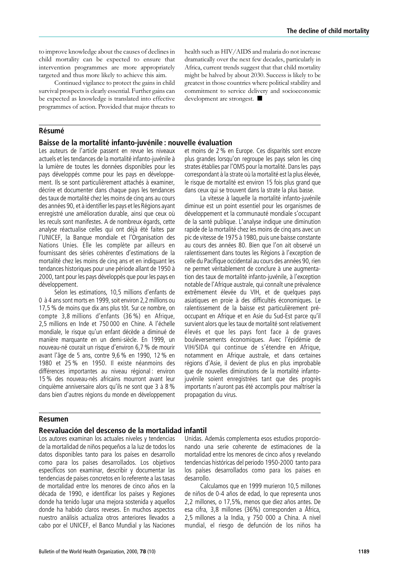to improve knowledge about the causes of declines in child mortality can be expected to ensure that intervention programmes are more appropriately targeted and thus more likely to achieve this aim.

Continued vigilance to protect the gains in child survival prospects is clearly essential. Further gains can be expected as knowledge is translated into effective programmes of action. Provided that major threats to

health such as HIV/AIDS and malaria do not increase dramatically over the next few decades, particularly in Africa, current trends suggest that that child mortality might be halved by about 2030. Success is likely to be greatest in those countries where political stability and commitment to service delivery and socioeconomic development are strongest.  $\blacksquare$ 

# **Résumé**

#### Baisse de la mortalité infanto-juvénile : nouvelle évaluation

Les auteurs de l'article passent en revue les niveaux actuels et les tendances de la mortalité infanto-juvénile à la lumière de toutes les données disponibles pour les pays développés comme pour les pays en développement. Ils se sont particulièrement attachés à examiner, décrire et documenter dans chaque pays les tendances des taux de mortalité chez les moins de cinq ans au cours des années 90, et à identifier les pays et les Régions ayant enregistré une amélioration durable, ainsi que ceux où les reculs sont manifestes. A de nombreux égards, cette analyse réactualise celles qui ont déjà été faites par l'UNICEF, la Banque mondiale et l'Organisation des Nations Unies. Elle les complète par ailleurs en fournissant des séries cohérentes d'estimations de la mortalité chez les moins de cinq ans et en indiquant les tendances historiques pour une période allant de 1950 à 2000, tant pour les pays développés que pour les pays en développement.

Selon les estimations, 10,5 millions d'enfants de 0 à 4 ans sont morts en 1999, soit environ 2,2 millions ou 17.5 % de moins que dix ans plus tôt. Sur ce nombre, on compte 3,8 millions d'enfants (36 %) en Afrique, 2,5 millions en Inde et 750 000 en Chine. A l'échelle mondiale, le risque qu'un enfant décède a diminué de manière marquante en un demi-siècle. En 1999, un nouveau-né courait un risque d'environ 6,7 % de mourir avant l'âge de 5 ans, contre 9,6 % en 1990, 12 % en 1980 et 25 % en 1950. Il existe néanmoins des différences importantes au niveau régional : environ 15 % des nouveau-nés africains mourront avant leur cinquième anniversaire alors qu'ils ne sont que 3 à 8 % dans bien d'autres régions du monde en développement et moins de 2 % en Europe. Ces disparités sont encore plus grandes lorsqu'on regroupe les pays selon les cinq strates établies par l'OMS pour la mortalité. Dans les pays correspondant à la strate où la mortalité est la plus élevée, le risque de mortalité est environ 15 fois plus grand que dans ceux qui se trouvent dans la strate la plus basse.

La vitesse à laquelle la mortalité infanto-juvénile diminue est un point essentiel pour les organismes de développement et la communauté mondiale s'occupant de la santé publique. L'analyse indique une diminution rapide de la mortalité chez les moins de cinq ans avec un pic de vitesse de 1975 à 1980, puis une baisse constante au cours des années 80. Bien que l'on ait observé un ralentissement dans toutes les Régions à l'exception de celle du Pacifique occidental au cours des années 90, rien ne permet véritablement de conclure à une augmentation des taux de mortalité infanto-juvénile, à l'exception notable de l'Afrique australe, qui connaît une prévalence extrêmement élevée du VIH, et de quelques pays asiatiques en proie à des difficultés économiques. Le ralentissement de la baisse est particulièrement préoccupant en Afrique et en Asie du Sud-Est parce qu'il survient alors que les taux de mortalité sont relativement élevés et que les pays font face à de graves bouleversements économiques. Avec l'épidémie de VIH/SIDA qui continue de s'étendre en Afrique, notamment en Afrique australe, et dans certaines régions d'Asie, il devient de plus en plus improbable que de nouvelles diminutions de la mortalité infantojuvénile soient enregistrées tant que des progrès importants n'auront pas été accomplis pour maîtriser la propagation du virus.

#### Resumen

#### Reevaluacio´ n del descenso de la mortalidad infantil

Los autores examinan los actuales niveles y tendencias de la mortalidad de niños pequeños a la luz de todos los datos disponibles tanto para los países en desarrollo como para los países desarrollados. Los objetivos específicos son examinar, describir y documentar las tendencias de paı´ses concretos en lo referente a las tasas de mortalidad entre los menores de cinco años en la década de 1990, e identificar los países y Regiones donde ha tenido lugar una mejora sostenida y aquellos donde ha habido claros reveses. En muchos aspectos nuestro análisis actualiza otros anteriores llevados a cabo por el UNICEF, el Banco Mundial y las Naciones

Unidas. Además complementa esos estudios proporcionando una serie coherente de estimaciones de la mortalidad entre los menores de cinco años y revelando tendencias históricas del periodo 1950-2000 tanto para los paı´ses desarrollados como para los paı´ses en desarrollo.

Calculamos que en 1999 murieron 10,5 millones de niños de 0-4 años de edad, lo que representa unos 2,2 millones, o 17,5%, menos que diez años antes. De esa cifra, 3,8 millones (36%) corresponden a África, 2,5 millones a la India, y 750 000 a China. A nivel mundial, el riesgo de defunción de los niños ha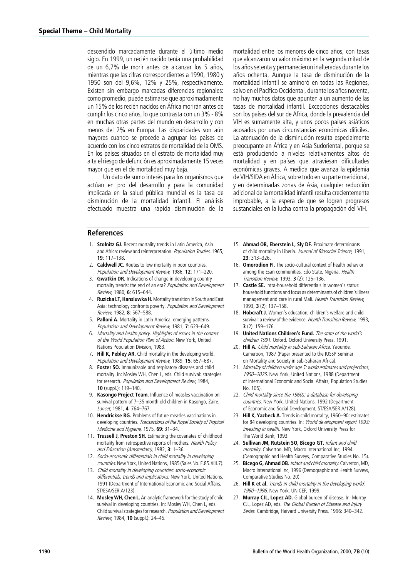descendido marcadamente durante el último medio siglo. En 1999, un recién nacido tenía una probabilidad de un 6,7% de morir antes de alcanzar los 5 años, mientras que las cifras correspondientes a 1990, 1980 y 1950 son del 9,6%, 12% y 25%, respectivamente. Existen sin embargo marcadas diferencias regionales: como promedio, puede estimarse que aproximadamente un 15% de los recién nacidos en África morirán antes de cumplir los cinco años, lo que contrasta con un 3% - 8% en muchas otras partes del mundo en desarrollo y con menos del 2% en Europa. Las disparidades son aún mayores cuando se procede a agrupar los países de acuerdo con los cinco estratos de mortalidad de la OMS. En los países situados en el estrato de mortalidad muy alta el riesgo de defunción es aproximadamente 15 veces mayor que en el de mortalidad muy baja.

Un dato de sumo interés para los organismos que actúan en pro del desarrollo y para la comunidad implicada en la salud pública mundial es la tasa de disminución de la mortalidad infantil. El análisis efectuado muestra una rápida disminución de la

#### References

- 1. Stolnitz GJ. Recent mortality trends in Latin America, Asia and Africa: review and reinterpretation. Population Studies, 1965, 19: 117–138.
- 2. **Caldwell JC.** Routes to low mortality in poor countries. Population and Development Review, 1986, 12: 171–220.
- 3. Gwatkin DR. Indications of change in developing country mortality trends: the end of an era? Population and Development Review, 1980, 6: 615–644.
- 4. Ruzicka LT, Hansluwka H. Mortality transition in South and East Asia: technology confronts poverty. Population and Development Review, 1982, 8: 567–588.
- Palloni A. Mortality in Latin America: emerging patterns. Population and Development Review, 1981, 7: 623–649.
- 6. Mortality and health policy. Highlights of issues in the context of the World Population Plan of Action. New York, United Nations Population Division, 1983.
- 7. Hill K, Pebley AR. Child mortality in the developing world. Population and Development Review, 1989, 15: 657–687.
- 8. Foster SO. Immunizable and respiratory diseases and child mortality. In: Mosley WH, Chen L, eds. Child survival: strategies for research. Population and Development Review, 1984, 10 (suppl.): 119–140.
- 9. Kasongo Project Team. Influence of measles vaccination on survival pattern of 7–35 month old children in Kasongo, Zaire. Lancet, 1981, 4: 764–767.
- 10. Hendrickse RG. Problems of future measles vaccinations in developing countries. Transactions of the Royal Society of Tropical Medicine and Hygiene, 1975, 69: 31-34.
- 11. Trussell J, Preston SH. Estimating the covariates of childhood mortality from retrospective reports of mothers. Health Policy and Education (Amsterdam), 1982, 3: 1–36.
- 12. Socio-economic differentials in child mortality in developing countries. New York, United Nations, 1985 (Sales No. E.85.XIII.7).
- 13. Child mortality in developing countries: socio-economic differentials, trends and implications. New York. United Nations, 1991 (Department of International Economic and Social Affairs, ST/ESA/SER.A/123).
- 14. **Mosley WH, Chen L.** An analytic framework for the study of child survival in developing countries. In: Mosley WH, Chen L, eds. Child survival strategies for research. Population and Development Review, 1984, 10 (suppl.): 24–45.

mortalidad entre los menores de cinco años, con tasas que alcanzaron su valor máximo en la segunda mitad de los años setenta y permanecieron inalteradas durante los años ochenta. Aunque la tasa de disminución de la mortalidad infantil se aminoró en todas las Regiones, salvo en el Pacífico Occidental, durante los años noventa, no hay muchos datos que apunten a un aumento de las tasas de mortalidad infantil. Excepciones destacables son los países del sur de África, donde la prevalencia del VIH es sumamente alta, y unos pocos países asiáticos acosados por unas circunstancias económicas difíciles. La atenuación de la disminución resulta especialmente preocupante en África y en Asia Sudoriental, porque se está produciendo a niveles relativamentes altos de mortalidad y en países que atraviesan dificultades económicas graves. A medida que avanza la epidemia de VIH/SIDA en África, sobre todo en su parte meridional, y en determinadas zonas de Asia, cualquier reducción adicional de la mortalidad infantil resulta crecientemente improbable, a la espera de que se logren progresos sustanciales en la lucha contra la propagación del VIH.

- 15. Ahmad OB, Eberstein L, Sly DF. Proximate determinants of child mortality in Liberia. Journal of Biosocial Science, 1991, 23: 313–326.
- 16. Omorodion FI. The socio-cultural context of health behavior among the Esan communities, Edo State, Nigeria. Health Transition Review, 1993, 3 (2): 125-136.
- 17. Castle SE. Intra-household differentials in women's status: household functions and focus as determinants of children's illness management and care in rural Mali. Health Transition Review, 1993, 3 (2): 137–158.
- 18. Hobcraft J. Women's education, children's welfare and child survival: a review of the evidence. Health Transition Review, 1993, 3 (2): 159–176.
- 19. United Nations Children's Fund. The state of the world's children 1991. Oxford. Oxford University Press, 1991.
- 20. Hill A. Child mortality in sub-Saharan Africa. Yaounde, Cameroon, 1987 (Paper presented to the IUSSP Seminar on Mortality and Society in sub-Saharan Africa).
- 21. Mortality of children under age 5: world estimates and projections, 1950–2025. New York, United Nations, 1988 (Department of International Economic and Social Affairs, Population Studies No. 105).
- 22. Child mortality since the 1960s: a database for developing countries. New York, United Nations, 1992 (Department of Economic and Social Development, ST/ESA/SER.A/128).
- 23. Hill K, Yazbeck A. Trends in child mortality, 1960-90: estimates for 84 developing countries. In: World development report 1993: investing in health. New York, Oxford University Press for The World Bank, 1993.
- 24. Sullivan JM, Rutstein SO, Bicego GT. Infant and child mortality. Calverton, MD, Macro International Inc, 1994. (Demographic and Health Surveys, Comparative Studies No. 15).
- 25. Bicego G, Ahmad OB. Infant and child mortality. Calverton, MD, Macro International Inc, 1996 (Demographic and Health Surveys, Comparative Studies No. 20).
- 26. Hill K et al. Trends in child mortality in the developing world: 1960–1996. New York, UNICEF, 1999.
- 27. Murray CJL, Lopez AD. Global burden of disease. In: Murray CJL, Lopez AD, eds. The Global Burden of Disease and Injury Series. Cambridge, Harvard University Press, 1996: 340-342.